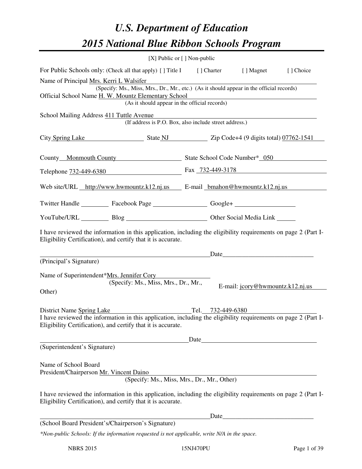# *U.S. Department of Education 2015 National Blue Ribbon Schools Program*

|                                                                                                                                                                                                             |                                                        | [X] Public or $[$ ] Non-public                        |                                  |           |  |
|-------------------------------------------------------------------------------------------------------------------------------------------------------------------------------------------------------------|--------------------------------------------------------|-------------------------------------------------------|----------------------------------|-----------|--|
| For Public Schools only: (Check all that apply) [] Title I [] Charter [] Magnet                                                                                                                             |                                                        |                                                       |                                  | [] Choice |  |
| Name of Principal Mrs. Kerri L Walsifer<br>(Specify: Ms., Miss, Mrs., Dr., Mr., etc.) (As it should appear in the official records)                                                                         |                                                        |                                                       |                                  |           |  |
| Official School Name H. W. Mountz Elementary School<br><u> 1980 - Andrea Andrew Maria (h. 1980).</u><br>(As it should appear in the official records)                                                       |                                                        |                                                       |                                  |           |  |
| School Mailing Address 411 Tuttle Avenue                                                                                                                                                                    | (If address is P.O. Box, also include street address.) | <u> 1989 - Andrea Stadt Britain, fransk politik (</u> |                                  |           |  |
| City Spring Lake State NJ State NJ Zip Code+4 (9 digits total) 07762-1541                                                                                                                                   |                                                        |                                                       |                                  |           |  |
| County Monmouth County State School Code Number* 050                                                                                                                                                        |                                                        |                                                       |                                  |           |  |
| Telephone 732-449-6380 Fax 732-449-3178                                                                                                                                                                     |                                                        |                                                       |                                  |           |  |
| Web site/URL http://www.hwmountz.k12.nj.us E-mail hmahon@hwmountz.k12.nj.us                                                                                                                                 |                                                        |                                                       |                                  |           |  |
| Twitter Handle ____________ Facebook Page ______________________ Google+ ___________________________                                                                                                        |                                                        |                                                       |                                  |           |  |
|                                                                                                                                                                                                             | YouTube/URL Blog Blog Cher Social Media Link           |                                                       |                                  |           |  |
| I have reviewed the information in this application, including the eligibility requirements on page 2 (Part I-<br>Eligibility Certification), and certify that it is accurate.                              |                                                        |                                                       |                                  |           |  |
| (Principal's Signature)                                                                                                                                                                                     |                                                        |                                                       | Date                             |           |  |
|                                                                                                                                                                                                             |                                                        |                                                       |                                  |           |  |
| Name of Superintendent*Mrs. Jennifer Cory<br>Other)                                                                                                                                                         | (Specify: Ms., Miss, Mrs., Dr., Mr.,                   |                                                       | E-mail: jcory@hwmountz.k12.nj.us |           |  |
| District Name Spring Lake<br>I have reviewed the information in this application, including the eligibility requirements on page 2 (Part I-<br>Eligibility Certification), and certify that it is accurate. |                                                        | Tel. 732-449-6380                                     |                                  |           |  |
|                                                                                                                                                                                                             |                                                        |                                                       |                                  |           |  |
| (Superintendent's Signature)                                                                                                                                                                                |                                                        |                                                       |                                  |           |  |
| Name of School Board<br>President/Chairperson Mr. Vincent Daino                                                                                                                                             | (Specify: Ms., Miss, Mrs., Dr., Mr., Other)            |                                                       |                                  |           |  |
| I have reviewed the information in this application, including the eligibility requirements on page 2 (Part I-<br>Eligibility Certification), and certify that it is accurate.                              |                                                        |                                                       |                                  |           |  |
|                                                                                                                                                                                                             |                                                        |                                                       | Date                             |           |  |
| (School Board President's/Chairperson's Signature)                                                                                                                                                          |                                                        |                                                       |                                  |           |  |
| *Non-public Schools: If the information requested is not applicable, write N/A in the space.                                                                                                                |                                                        |                                                       |                                  |           |  |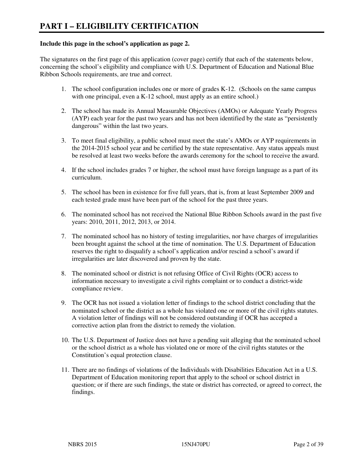#### **Include this page in the school's application as page 2.**

The signatures on the first page of this application (cover page) certify that each of the statements below, concerning the school's eligibility and compliance with U.S. Department of Education and National Blue Ribbon Schools requirements, are true and correct.

- 1. The school configuration includes one or more of grades K-12. (Schools on the same campus with one principal, even a K-12 school, must apply as an entire school.)
- 2. The school has made its Annual Measurable Objectives (AMOs) or Adequate Yearly Progress (AYP) each year for the past two years and has not been identified by the state as "persistently dangerous" within the last two years.
- 3. To meet final eligibility, a public school must meet the state's AMOs or AYP requirements in the 2014-2015 school year and be certified by the state representative. Any status appeals must be resolved at least two weeks before the awards ceremony for the school to receive the award.
- 4. If the school includes grades 7 or higher, the school must have foreign language as a part of its curriculum.
- 5. The school has been in existence for five full years, that is, from at least September 2009 and each tested grade must have been part of the school for the past three years.
- 6. The nominated school has not received the National Blue Ribbon Schools award in the past five years: 2010, 2011, 2012, 2013, or 2014.
- 7. The nominated school has no history of testing irregularities, nor have charges of irregularities been brought against the school at the time of nomination. The U.S. Department of Education reserves the right to disqualify a school's application and/or rescind a school's award if irregularities are later discovered and proven by the state.
- 8. The nominated school or district is not refusing Office of Civil Rights (OCR) access to information necessary to investigate a civil rights complaint or to conduct a district-wide compliance review.
- 9. The OCR has not issued a violation letter of findings to the school district concluding that the nominated school or the district as a whole has violated one or more of the civil rights statutes. A violation letter of findings will not be considered outstanding if OCR has accepted a corrective action plan from the district to remedy the violation.
- 10. The U.S. Department of Justice does not have a pending suit alleging that the nominated school or the school district as a whole has violated one or more of the civil rights statutes or the Constitution's equal protection clause.
- 11. There are no findings of violations of the Individuals with Disabilities Education Act in a U.S. Department of Education monitoring report that apply to the school or school district in question; or if there are such findings, the state or district has corrected, or agreed to correct, the findings.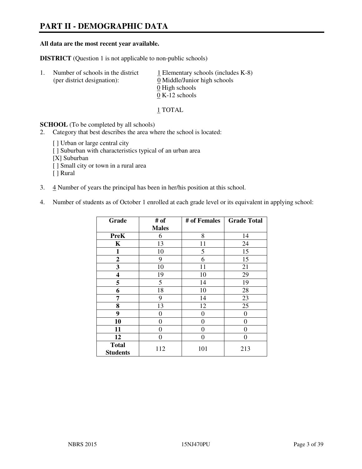# **PART II - DEMOGRAPHIC DATA**

#### **All data are the most recent year available.**

**DISTRICT** (Question 1 is not applicable to non-public schools)

| $\mathbf{L}$ | Number of schools in the district<br>(per district designation): | $\perp$ Elementary schools (includes K-8)<br>0 Middle/Junior high schools<br>0 High schools |
|--------------|------------------------------------------------------------------|---------------------------------------------------------------------------------------------|
|              |                                                                  | $0 K-12$ schools                                                                            |

1 TOTAL

**SCHOOL** (To be completed by all schools)

- 2. Category that best describes the area where the school is located:
	- [ ] Urban or large central city
	- [ ] Suburban with characteristics typical of an urban area
	- [X] Suburban
	- [ ] Small city or town in a rural area
	- [ ] Rural
- 3. 4 Number of years the principal has been in her/his position at this school.
- 4. Number of students as of October 1 enrolled at each grade level or its equivalent in applying school:

| Grade                           | # of         | # of Females | <b>Grade Total</b> |
|---------------------------------|--------------|--------------|--------------------|
|                                 | <b>Males</b> |              |                    |
| <b>PreK</b>                     | 6            | 8            | 14                 |
| $\mathbf K$                     | 13           | 11           | 24                 |
| 1                               | 10           | 5            | 15                 |
| $\boldsymbol{2}$                | 9            | 6            | 15                 |
| 3                               | 10           | 11           | 21                 |
| $\overline{\mathbf{4}}$         | 19           | 10           | 29                 |
| 5                               | 5            | 14           | 19                 |
| 6                               | 18           | 10           | 28                 |
| 7                               | 9            | 14           | 23                 |
| 8                               | 13           | 12           | 25                 |
| 9                               | 0            | 0            | 0                  |
| 10                              | 0            | 0            | 0                  |
| 11                              | 0            | 0            | $\theta$           |
| 12                              | 0            | 0            | 0                  |
| <b>Total</b><br><b>Students</b> | 112          | 101          | 213                |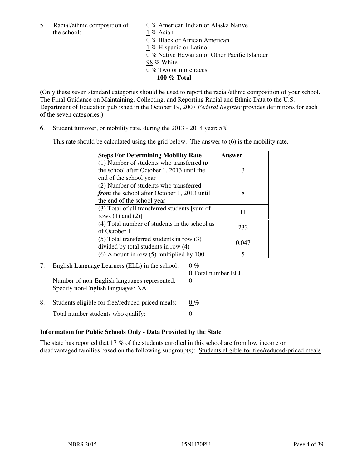the school: 1 % Asian

5. Racial/ethnic composition of  $0\%$  American Indian or Alaska Native 0 % Black or African American 1 % Hispanic or Latino 0 % Native Hawaiian or Other Pacific Islander 98 % White 0 % Two or more races **100 % Total** 

(Only these seven standard categories should be used to report the racial/ethnic composition of your school. The Final Guidance on Maintaining, Collecting, and Reporting Racial and Ethnic Data to the U.S. Department of Education published in the October 19, 2007 *Federal Register* provides definitions for each of the seven categories.)

6. Student turnover, or mobility rate, during the 2013 - 2014 year: 5%

This rate should be calculated using the grid below. The answer to (6) is the mobility rate.

| <b>Steps For Determining Mobility Rate</b>         | Answer |
|----------------------------------------------------|--------|
| $(1)$ Number of students who transferred to        |        |
| the school after October 1, 2013 until the         | 3      |
| end of the school year                             |        |
| (2) Number of students who transferred             |        |
| <i>from</i> the school after October 1, 2013 until | 8      |
| the end of the school year                         |        |
| (3) Total of all transferred students [sum of      | 11     |
| rows $(1)$ and $(2)$ ]                             |        |
| (4) Total number of students in the school as      | 233    |
| of October 1                                       |        |
| $(5)$ Total transferred students in row $(3)$      | 0.047  |
| divided by total students in row (4)               |        |
| $(6)$ Amount in row $(5)$ multiplied by 100        | 5      |

# 7. English Language Learners (ELL) in the school:  $0\%$

Number of non-English languages represented: 0 Specify non-English languages: NA

0 Total number ELL

8. Students eligible for free/reduced-priced meals:  $0\%$ Total number students who qualify:  $\qquad \qquad \frac{0}{0}$ 

### **Information for Public Schools Only - Data Provided by the State**

The state has reported that  $17\%$  of the students enrolled in this school are from low income or disadvantaged families based on the following subgroup(s): Students eligible for free/reduced-priced meals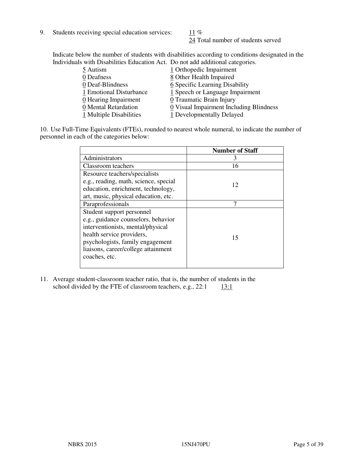9. Students receiving special education services:  $11\%$ 

24 Total number of students served

Indicate below the number of students with disabilities according to conditions designated in the Individuals with Disabilities Education Act. Do not add additional categories.

| 5 Autism                           | 1 Orthopedic Impairment                 |
|------------------------------------|-----------------------------------------|
| 0 Deafness                         | 8 Other Health Impaired                 |
| 0 Deaf-Blindness                   | 6 Specific Learning Disability          |
| 1 Emotional Disturbance            | 1 Speech or Language Impairment         |
| $\underline{0}$ Hearing Impairment | 0 Traumatic Brain Injury                |
| 0 Mental Retardation               | 0 Visual Impairment Including Blindness |
| 1 Multiple Disabilities            | 1 Developmentally Delayed               |
|                                    |                                         |

10. Use Full-Time Equivalents (FTEs), rounded to nearest whole numeral, to indicate the number of personnel in each of the categories below:

|                                       | <b>Number of Staff</b> |
|---------------------------------------|------------------------|
| Administrators                        | 3                      |
| Classroom teachers                    | 16                     |
| Resource teachers/specialists         |                        |
| e.g., reading, math, science, special | 12                     |
| education, enrichment, technology,    |                        |
| art, music, physical education, etc.  |                        |
| Paraprofessionals                     |                        |
| Student support personnel             |                        |
| e.g., guidance counselors, behavior   |                        |
| interventionists, mental/physical     |                        |
| health service providers,             | 15                     |
| psychologists, family engagement      |                        |
| liaisons, career/college attainment   |                        |
| coaches, etc.                         |                        |
|                                       |                        |

11. Average student-classroom teacher ratio, that is, the number of students in the school divided by the FTE of classroom teachers, e.g.,  $22:1$  13:1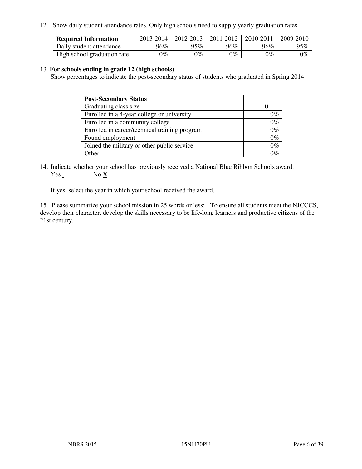12. Show daily student attendance rates. Only high schools need to supply yearly graduation rates.

| <b>Required Information</b> | 2013-2014     | 2012-2013       | 2011-2012 | 2010-2011 | 2009-2010 |
|-----------------------------|---------------|-----------------|-----------|-----------|-----------|
| Daily student attendance    | 96%           | $95\%$          | 96%       | 96%       | 95%       |
| High school graduation rate | $\gamma_{\%}$ | $\mathcal{V}_o$ | $0\%$     | 0%        | 0%        |

#### 13. **For schools ending in grade 12 (high schools)**

Show percentages to indicate the post-secondary status of students who graduated in Spring 2014

| <b>Post-Secondary Status</b>                  |       |
|-----------------------------------------------|-------|
| Graduating class size                         |       |
| Enrolled in a 4-year college or university    | 0%    |
| Enrolled in a community college               | $0\%$ |
| Enrolled in career/technical training program | $0\%$ |
| Found employment                              | $0\%$ |
| Joined the military or other public service   | $0\%$ |
| Other                                         |       |

14. Indicate whether your school has previously received a National Blue Ribbon Schools award. Yes No X

If yes, select the year in which your school received the award.

15. Please summarize your school mission in 25 words or less: To ensure all students meet the NJCCCS, develop their character, develop the skills necessary to be life-long learners and productive citizens of the 21st century.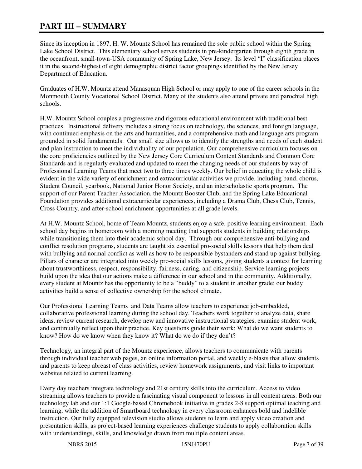# **PART III – SUMMARY**

Since its inception in 1897, H. W. Mountz School has remained the sole public school within the Spring Lake School District. This elementary school serves students in pre-kindergarten through eighth grade in the oceanfront, small-town-USA community of Spring Lake, New Jersey. Its level "I" classification places it in the second-highest of eight demographic district factor groupings identified by the New Jersey Department of Education.

Graduates of H.W. Mountz attend Manasquan High School or may apply to one of the career schools in the Monmouth County Vocational School District. Many of the students also attend private and parochial high schools.

H.W. Mountz School couples a progressive and rigorous educational environment with traditional best practices. Instructional delivery includes a strong focus on technology, the sciences, and foreign language, with continued emphasis on the arts and humanities, and a comprehensive math and language arts program grounded in solid fundamentals. Our small size allows us to identify the strengths and needs of each student and plan instruction to meet the individuality of our population. Our comprehensive curriculum focuses on the core proficiencies outlined by the New Jersey Core Curriculum Content Standards and Common Core Standards and is regularly evaluated and updated to meet the changing needs of our students by way of Professional Learning Teams that meet two to three times weekly. Our belief in educating the whole child is evident in the wide variety of enrichment and extracurricular activities we provide, including band, chorus, Student Council, yearbook, National Junior Honor Society, and an interscholastic sports program. The support of our Parent Teacher Association, the Mountz Booster Club, and the Spring Lake Educational Foundation provides additional extracurricular experiences, including a Drama Club, Chess Club, Tennis, Cross Country, and after-school enrichment opportunities at all grade levels.

At H.W. Mountz School, home of Team Mountz, students enjoy a safe, positive learning environment. Each school day begins in homeroom with a morning meeting that supports students in building relationships while transitioning them into their academic school day. Through our comprehensive anti-bullying and conflict resolution programs, students are taught six essential pro-social skills lessons that help them deal with bullying and normal conflict as well as how to be responsible bystanders and stand up against bullying. Pillars of character are integrated into weekly pro-social skills lessons, giving students a context for learning about trustworthiness, respect, responsibility, fairness, caring, and citizenship. Service learning projects build upon the idea that our actions make a difference in our school and in the community. Additionally, every student at Mountz has the opportunity to be a "buddy" to a student in another grade; our buddy activities build a sense of collective ownership for the school climate.

Our Professional Learning Teams and Data Teams allow teachers to experience job-embedded, collaborative professional learning during the school day. Teachers work together to analyze data, share ideas, review current research, develop new and innovative instructional strategies, examine student work, and continually reflect upon their practice. Key questions guide their work: What do we want students to know? How do we know when they know it? What do we do if they don't?

Technology, an integral part of the Mountz experience, allows teachers to communicate with parents through individual teacher web pages, an online information portal, and weekly e-blasts that allow students and parents to keep abreast of class activities, review homework assignments, and visit links to important websites related to current learning.

Every day teachers integrate technology and 21st century skills into the curriculum. Access to video streaming allows teachers to provide a fascinating visual component to lessons in all content areas. Both our technology lab and our 1:1 Google-based Chromebook initiative in grades 2-8 support optimal teaching and learning, while the addition of Smartboard technology in every classroom enhances bold and indelible instruction. Our fully equipped television studio allows students to learn and apply video creation and presentation skills, as project-based learning experiences challenge students to apply collaboration skills with understandings, skills, and knowledge drawn from multiple content areas.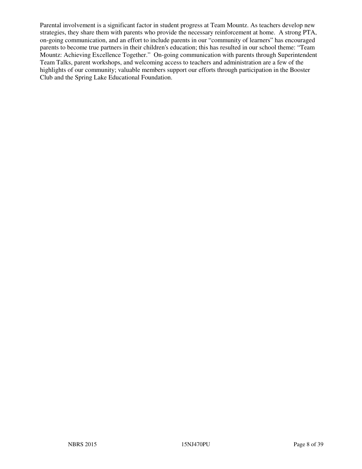Parental involvement is a significant factor in student progress at Team Mountz. As teachers develop new strategies, they share them with parents who provide the necessary reinforcement at home. A strong PTA, on-going communication, and an effort to include parents in our "community of learners" has encouraged parents to become true partners in their children's education; this has resulted in our school theme: "Team Mountz: Achieving Excellence Together." On-going communication with parents through Superintendent Team Talks, parent workshops, and welcoming access to teachers and administration are a few of the highlights of our community; valuable members support our efforts through participation in the Booster Club and the Spring Lake Educational Foundation.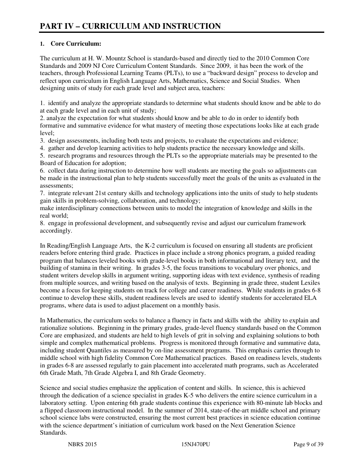# **1. Core Curriculum:**

The curriculum at H. W. Mountz School is standards-based and directly tied to the 2010 Common Core Standards and 2009 NJ Core Curriculum Content Standards. Since 2009, it has been the work of the teachers, through Professional Learning Teams (PLTs), to use a "backward design" process to develop and reflect upon curriculum in English Language Arts, Mathematics, Science and Social Studies. When designing units of study for each grade level and subject area, teachers:

1. identify and analyze the appropriate standards to determine what students should know and be able to do at each grade level and in each unit of study;

2. analyze the expectation for what students should know and be able to do in order to identify both formative and summative evidence for what mastery of meeting those expectations looks like at each grade level;

3. design assessments, including both tests and projects, to evaluate the expectations and evidence;

4. gather and develop learning activities to help students practice the necessary knowledge and skills.

5. research programs and resources through the PLTs so the appropriate materials may be presented to the Board of Education for adoption;

6. collect data during instruction to determine how well students are meeting the goals so adjustments can be made in the instructional plan to help students successfully meet the goals of the units as evaluated in the assessments;

7. integrate relevant 21st century skills and technology applications into the units of study to help students gain skills in problem-solving, collaboration, and technology;

make interdisciplinary connections between units to model the integration of knowledge and skills in the real world;

8. engage in professional development, and subsequently revise and adjust our curriculum framework accordingly.

In Reading/English Language Arts, the K-2 curriculum is focused on ensuring all students are proficient readers before entering third grade. Practices in place include a strong phonics program, a guided reading program that balances leveled books with grade-level books in both informational and literary text, and the building of stamina in their writing. In grades 3-5, the focus transitions to vocabulary over phonics, and student writers develop skills in argument writing, supporting ideas with text evidence, synthesis of reading from multiple sources, and writing based on the analysis of texts. Beginning in grade three, student Lexiles become a focus for keeping students on track for college and career readiness. While students in grades 6-8 continue to develop these skills, student readiness levels are used to identify students for accelerated ELA programs, where data is used to adjust placement on a monthly basis.

In Mathematics, the curriculum seeks to balance a fluency in facts and skills with the ability to explain and rationalize solutions. Beginning in the primary grades, grade-level fluency standards based on the Common Core are emphasized, and students are held to high levels of grit in solving and explaining solutions to both simple and complex mathematical problems. Progress is monitored through formative and summative data, including student Quantiles as measured by on-line assessment programs. This emphasis carries through to middle school with high fidelity Common Core Mathematical practices. Based on readiness levels, students in grades 6-8 are assessed regularly to gain placement into accelerated math programs, such as Accelerated 6th Grade Math, 7th Grade Algebra I, and 8th Grade Geometry.

Science and social studies emphasize the application of content and skills. In science, this is achieved through the dedication of a science specialist in grades K-5 who delivers the entire science curriculum in a laboratory setting. Upon entering 6th grade students continue this experience with 80-minute lab blocks and a flipped classroom instructional model. In the summer of 2014, state-of-the-art middle school and primary school science labs were constructed, ensuring the most current best practices in science education continue with the science department's initiation of curriculum work based on the Next Generation Science Standards.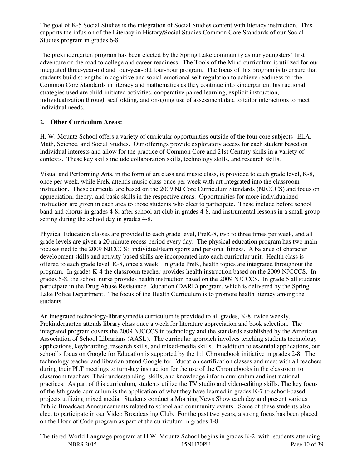The goal of K-5 Social Studies is the integration of Social Studies content with literacy instruction. This supports the infusion of the Literacy in History/Social Studies Common Core Standards of our Social Studies program in grades 6-8.

The prekindergarten program has been elected by the Spring Lake community as our youngsters' first adventure on the road to college and career readiness. The Tools of the Mind curriculum is utilized for our integrated three-year-old and four-year-old four-hour program. The focus of this program is to ensure that students build strengths in cognitive and social-emotional self-regulation to achieve readiness for the Common Core Standards in literacy and mathematics as they continue into kindergarten. Instructional strategies used are child-initiated activities, cooperative paired learning, explicit instruction, individualization through scaffolding, and on-going use of assessment data to tailor interactions to meet individual needs.

# **2. Other Curriculum Areas:**

H. W. Mountz School offers a variety of curricular opportunities outside of the four core subjects--ELA, Math, Science, and Social Studies. Our offerings provide exploratory access for each student based on individual interests and allow for the practice of Common Core and 21st Century skills in a variety of contexts. These key skills include collaboration skills, technology skills, and research skills.

Visual and Performing Arts, in the form of art class and music class, is provided to each grade level, K-8, once per week, while PreK attends music class once per week with art integrated into the classroom instruction. These curricula are based on the 2009 NJ Core Curriculum Standards (NJCCCS) and focus on appreciation, theory, and basic skills in the respective areas. Opportunities for more individualized instruction are given in each area to those students who elect to participate. These include before school band and chorus in grades 4-8, after school art club in grades 4-8, and instrumental lessons in a small group setting during the school day in grades 4-8.

Physical Education classes are provided to each grade level, PreK-8, two to three times per week, and all grade levels are given a 20 minute recess period every day. The physical education program has two main focuses tied to the 2009 NJCCCS: individual/team sports and personal fitness. A balance of character development skills and activity-based skills are incorporated into each curricular unit. Health class is offered to each grade level, K-8, once a week. In grade PreK, health topics are integrated throughout the program. In grades K-4 the classroom teacher provides health instruction based on the 2009 NJCCCS. In grades 5-8, the school nurse provides health instruction based on the 2009 NJCCCS. In grade 5 all students participate in the Drug Abuse Resistance Education (DARE) program, which is delivered by the Spring Lake Police Department. The focus of the Health Curriculum is to promote health literacy among the students.

An integrated technology-library/media curriculum is provided to all grades, K-8, twice weekly. Prekindergarten attends library class once a week for literature appreciation and book selection. The integrated program covers the 2009 NJCCCS in technology and the standards established by the American Association of School Librarians (AASL). The curricular approach involves teaching students technology applications, keyboarding, research skills, and mixed-media skills. In addition to essential applications, our school's focus on Google for Education is supported by the 1:1 Chromebook initiative in grades 2-8. The technology teacher and librarian attend Google for Education certification classes and meet with all teachers during their PLT meetings to turn-key instruction for the use of the Chromebooks in the classroom to classroom teachers. Their understanding, skills, and knowledge inform curriculum and instructional practices. As part of this curriculum, students utilize the TV studio and video-editing skills. The key focus of the 8th grade curriculum is the application of what they have learned in grades K-7 to school-based projects utilizing mixed media. Students conduct a Morning News Show each day and present various Public Broadcast Announcements related to school and community events. Some of these students also elect to participate in our Video Broadcasting Club. For the past two years, a strong focus has been placed on the Hour of Code program as part of the curriculum in grades 1-8.

NBRS 2015 15NJ470PU Page 10 of 39 The tiered World Language program at H.W. Mountz School begins in grades K-2, with students attending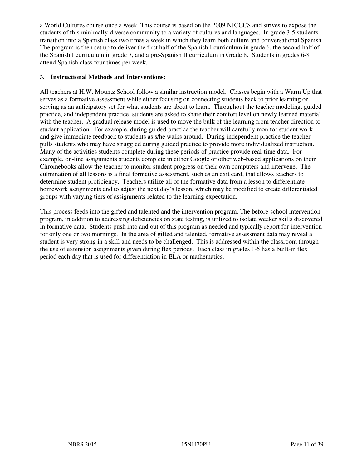a World Cultures course once a week. This course is based on the 2009 NJCCCS and strives to expose the students of this minimally-diverse community to a variety of cultures and languages. In grade 3-5 students transition into a Spanish class two times a week in which they learn both culture and conversational Spanish. The program is then set up to deliver the first half of the Spanish I curriculum in grade 6, the second half of the Spanish I curriculum in grade 7, and a pre-Spanish II curriculum in Grade 8. Students in grades 6-8 attend Spanish class four times per week.

#### **3. Instructional Methods and Interventions:**

All teachers at H.W. Mountz School follow a similar instruction model. Classes begin with a Warm Up that serves as a formative assessment while either focusing on connecting students back to prior learning or serving as an anticipatory set for what students are about to learn. Throughout the teacher modeling, guided practice, and independent practice, students are asked to share their comfort level on newly learned material with the teacher. A gradual release model is used to move the bulk of the learning from teacher direction to student application. For example, during guided practice the teacher will carefully monitor student work and give immediate feedback to students as s/he walks around. During independent practice the teacher pulls students who may have struggled during guided practice to provide more individualized instruction. Many of the activities students complete during these periods of practice provide real-time data. For example, on-line assignments students complete in either Google or other web-based applications on their Chromebooks allow the teacher to monitor student progress on their own computers and intervene. The culmination of all lessons is a final formative assessment, such as an exit card, that allows teachers to determine student proficiency. Teachers utilize all of the formative data from a lesson to differentiate homework assignments and to adjust the next day's lesson, which may be modified to create differentiated groups with varying tiers of assignments related to the learning expectation.

This process feeds into the gifted and talented and the intervention program. The before-school intervention program, in addition to addressing deficiencies on state testing, is utilized to isolate weaker skills discovered in formative data. Students push into and out of this program as needed and typically report for intervention for only one or two mornings. In the area of gifted and talented, formative assessment data may reveal a student is very strong in a skill and needs to be challenged. This is addressed within the classroom through the use of extension assignments given during flex periods. Each class in grades 1-5 has a built-in flex period each day that is used for differentiation in ELA or mathematics.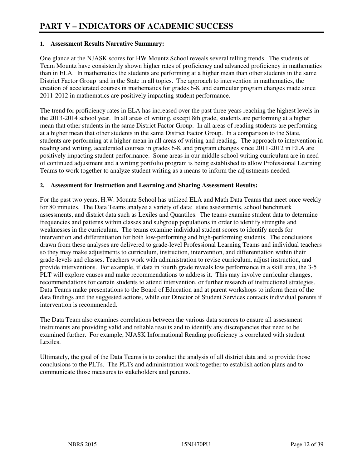#### **1. Assessment Results Narrative Summary:**

One glance at the NJASK scores for HW Mountz School reveals several telling trends. The students of Team Mountz have consistently shown higher rates of proficiency and advanced proficiency in mathematics than in ELA. In mathematics the students are performing at a higher mean than other students in the same District Factor Group and in the State in all topics. The approach to intervention in mathematics, the creation of accelerated courses in mathematics for grades 6-8, and curricular program changes made since 2011-2012 in mathematics are positively impacting student performance.

The trend for proficiency rates in ELA has increased over the past three years reaching the highest levels in the 2013-2014 school year. In all areas of writing, except 8th grade, students are performing at a higher mean that other students in the same District Factor Group. In all areas of reading students are performing at a higher mean that other students in the same District Factor Group. In a comparison to the State, students are performing at a higher mean in all areas of writing and reading. The approach to intervention in reading and writing, accelerated courses in grades 6-8, and program changes since 2011-2012 in ELA are positively impacting student performance. Some areas in our middle school writing curriculum are in need of continued adjustment and a writing portfolio program is being established to allow Professional Learning Teams to work together to analyze student writing as a means to inform the adjustments needed.

#### **2. Assessment for Instruction and Learning and Sharing Assessment Results:**

For the past two years, H.W. Mountz School has utilized ELA and Math Data Teams that meet once weekly for 80 minutes. The Data Teams analyze a variety of data: state assessments, school benchmark assessments, and district data such as Lexiles and Quantiles. The teams examine student data to determine frequencies and patterns within classes and subgroup populations in order to identify strengths and weaknesses in the curriculum. The teams examine individual student scores to identify needs for intervention and differentiation for both low-performing and high-performing students. The conclusions drawn from these analyses are delivered to grade-level Professional Learning Teams and individual teachers so they may make adjustments to curriculum, instruction, intervention, and differentiation within their grade-levels and classes. Teachers work with administration to revise curriculum, adjust instruction, and provide interventions. For example, if data in fourth grade reveals low performance in a skill area, the 3-5 PLT will explore causes and make recommendations to address it. This may involve curricular changes, recommendations for certain students to attend intervention, or further research of instructional strategies. Data Teams make presentations to the Board of Education and at parent workshops to inform them of the data findings and the suggested actions, while our Director of Student Services contacts individual parents if intervention is recommended.

The Data Team also examines correlations between the various data sources to ensure all assessment instruments are providing valid and reliable results and to identify any discrepancies that need to be examined further. For example, NJASK Informational Reading proficiency is correlated with student Lexiles.

Ultimately, the goal of the Data Teams is to conduct the analysis of all district data and to provide those conclusions to the PLTs. The PLTs and administration work together to establish action plans and to communicate those measures to stakeholders and parents.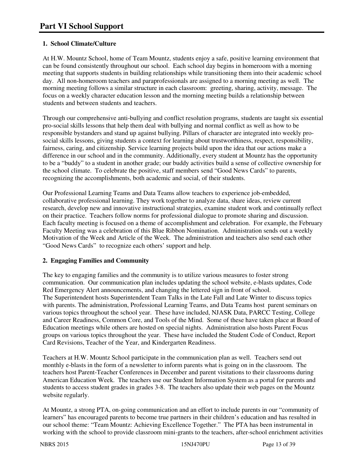### **1. School Climate/Culture**

At H.W. Mountz School, home of Team Mountz, students enjoy a safe, positive learning environment that can be found consistently throughout our school. Each school day begins in homeroom with a morning meeting that supports students in building relationships while transitioning them into their academic school day. All non-homeroom teachers and paraprofessionals are assigned to a morning meeting as well. The morning meeting follows a similar structure in each classroom: greeting, sharing, activity, message. The focus on a weekly character education lesson and the morning meeting builds a relationship between students and between students and teachers.

Through our comprehensive anti-bullying and conflict resolution programs, students are taught six essential pro-social skills lessons that help them deal with bullying and normal conflict as well as how to be responsible bystanders and stand up against bullying. Pillars of character are integrated into weekly prosocial skills lessons, giving students a context for learning about trustworthiness, respect, responsibility, fairness, caring, and citizenship. Service learning projects build upon the idea that our actions make a difference in our school and in the community. Additionally, every student at Mountz has the opportunity to be a "buddy" to a student in another grade; our buddy activities build a sense of collective ownership for the school climate. To celebrate the positive, staff members send "Good News Cards" to parents, recognizing the accomplishments, both academic and social, of their students.

Our Professional Learning Teams and Data Teams allow teachers to experience job-embedded, collaborative professional learning. They work together to analyze data, share ideas, review current research, develop new and innovative instructional strategies, examine student work and continually reflect on their practice. Teachers follow norms for professional dialogue to promote sharing and discussion. Each faculty meeting is focused on a theme of accomplishment and celebration. For example, the February Faculty Meeting was a celebration of this Blue Ribbon Nomination. Administration sends out a weekly Motivation of the Week and Article of the Week. The administration and teachers also send each other "Good News Cards" to recognize each others' support and help.

### **2. Engaging Families and Community**

The key to engaging families and the community is to utilize various measures to foster strong communication. Our communication plan includes updating the school website, e-blasts updates, Code Red Emergency Alert announcements, and changing the lettered sign in front of school. The Superintendent hosts Superintendent Team Talks in the Late Fall and Late Winter to discuss topics with parents. The administration, Professional Learning Teams, and Data Teams host parent seminars on various topics throughout the school year. These have included, NJASK Data, PARCC Testing, College and Career Readiness, Common Core, and Tools of the Mind. Some of these have taken place at Board of Education meetings while others are hosted on special nights. Administration also hosts Parent Focus groups on various topics throughout the year. These have included the Student Code of Conduct, Report Card Revisions, Teacher of the Year, and Kindergarten Readiness.

Teachers at H.W. Mountz School participate in the communication plan as well. Teachers send out monthly e-blasts in the form of a newsletter to inform parents what is going on in the classroom. The teachers host Parent-Teacher Conferences in December and parent visitations to their classrooms during American Education Week. The teachers use our Student Information System as a portal for parents and students to access student grades in grades 3-8. The teachers also update their web pages on the Mountz website regularly.

At Mountz, a strong PTA, on-going communication and an effort to include parents in our "community of learners" has encouraged parents to become true partners in their children's education and has resulted in our school theme: "Team Mountz: Achieving Excellence Together." The PTA has been instrumental in working with the school to provide classroom mini-grants to the teachers, after-school enrichment activities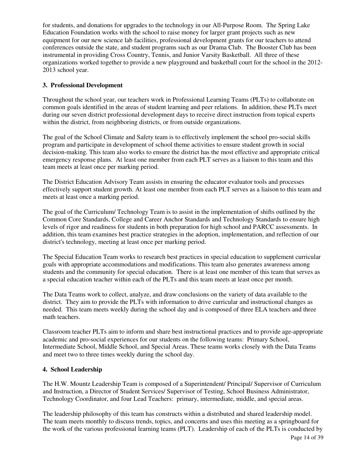for students, and donations for upgrades to the technology in our All-Purpose Room. The Spring Lake Education Foundation works with the school to raise money for larger grant projects such as new equipment for our new science lab facilities, professional development grants for our teachers to attend conferences outside the state, and student programs such as our Drama Club. The Booster Club has been instrumental in providing Cross Country, Tennis, and Junior Varsity Basketball. All three of these organizations worked together to provide a new playground and basketball court for the school in the 2012- 2013 school year.

### **3. Professional Development**

Throughout the school year, our teachers work in Professional Learning Teams (PLTs) to collaborate on common goals identified in the areas of student learning and peer relations. In addition, these PLTs meet during our seven district professional development days to receive direct instruction from topical experts within the district, from neighboring districts, or from outside organizations.

The goal of the School Climate and Safety team is to effectively implement the school pro-social skills program and participate in development of school theme activities to ensure student growth in social decision-making. This team also works to ensure the district has the most effective and appropriate critical emergency response plans. At least one member from each PLT serves as a liaison to this team and this team meets at least once per marking period.

The District Education Advisory Team assists in ensuring the educator evaluator tools and processes effectively support student growth. At least one member from each PLT serves as a liaison to this team and meets at least once a marking period.

The goal of the Curriculum/ Technology Team is to assist in the implementation of shifts outlined by the Common Core Standards, College and Career Anchor Standards and Technology Standards to ensure high levels of rigor and readiness for students in both preparation for high school and PARCC assessments. In addition, this team examines best practice strategies in the adoption, implementation, and reflection of our district's technology, meeting at least once per marking period.

The Special Education Team works to research best practices in special education to supplement curricular goals with appropriate accommodations and modifications. This team also generates awareness among students and the community for special education. There is at least one member of this team that serves as a special education teacher within each of the PLTs and this team meets at least once per month.

The Data Teams work to collect, analyze, and draw conclusions on the variety of data available to the district. They aim to provide the PLTs with information to drive curricular and instructional changes as needed. This team meets weekly during the school day and is composed of three ELA teachers and three math teachers.

Classroom teacher PLTs aim to inform and share best instructional practices and to provide age-appropriate academic and pro-social experiences for our students on the following teams: Primary School, Intermediate School, Middle School, and Special Areas. These teams works closely with the Data Teams and meet two to three times weekly during the school day.

#### **4. School Leadership**

The H.W. Mountz Leadership Team is composed of a Superintendent/ Principal/ Supervisor of Curriculum and Instruction, a Director of Student Services/ Supervisor of Testing, School Business Administrator, Technology Coordinator, and four Lead Teachers: primary, intermediate, middle, and special areas.

The leadership philosophy of this team has constructs within a distributed and shared leadership model. The team meets monthly to discuss trends, topics, and concerns and uses this meeting as a springboard for the work of the various professional learning teams (PLT). Leadership of each of the PLTs is conducted by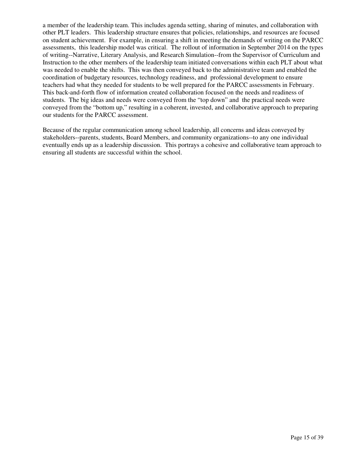a member of the leadership team. This includes agenda setting, sharing of minutes, and collaboration with other PLT leaders. This leadership structure ensures that policies, relationships, and resources are focused on student achievement. For example, in ensuring a shift in meeting the demands of writing on the PARCC assessments, this leadership model was critical. The rollout of information in September 2014 on the types of writing--Narrative, Literary Analysis, and Research Simulation--from the Supervisor of Curriculum and Instruction to the other members of the leadership team initiated conversations within each PLT about what was needed to enable the shifts. This was then conveyed back to the administrative team and enabled the coordination of budgetary resources, technology readiness, and professional development to ensure teachers had what they needed for students to be well prepared for the PARCC assessments in February. This back-and-forth flow of information created collaboration focused on the needs and readiness of students. The big ideas and needs were conveyed from the "top down" and the practical needs were conveyed from the "bottom up," resulting in a coherent, invested, and collaborative approach to preparing our students for the PARCC assessment.

Because of the regular communication among school leadership, all concerns and ideas conveyed by stakeholders--parents, students, Board Members, and community organizations--to any one individual eventually ends up as a leadership discussion. This portrays a cohesive and collaborative team approach to ensuring all students are successful within the school.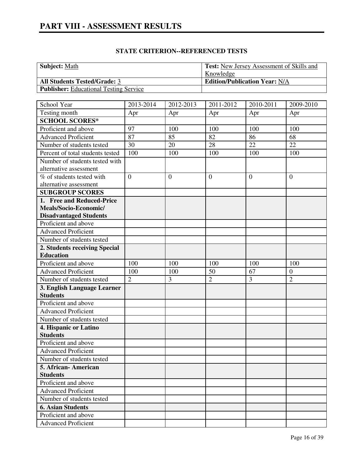| <b>Subject:</b> Math                          | <b>Test:</b> New Jersey Assessment of Skills and |
|-----------------------------------------------|--------------------------------------------------|
|                                               | Knowledge                                        |
| <b>All Students Tested/Grade: 3</b>           | <b>Edition/Publication Year: N/A</b>             |
| <b>Publisher:</b> Educational Testing Service |                                                  |

| School Year                      | 2013-2014      | 2012-2013    | 2011-2012      | 2010-2011 | 2009-2010      |
|----------------------------------|----------------|--------------|----------------|-----------|----------------|
| Testing month                    | Apr            | Apr          | Apr            | Apr       | Apr            |
| <b>SCHOOL SCORES*</b>            |                |              |                |           |                |
| Proficient and above             | 97             | 100          | 100            | 100       | 100            |
| <b>Advanced Proficient</b>       | 87             | 85           | 82             | 86        | 68             |
| Number of students tested        | 30             | 20           | 28             | 22        | 22             |
| Percent of total students tested | 100            | 100          | 100            | 100       | 100            |
| Number of students tested with   |                |              |                |           |                |
| alternative assessment           |                |              |                |           |                |
| % of students tested with        | $\overline{0}$ | $\mathbf{0}$ | $\overline{0}$ | $\theta$  | $\overline{0}$ |
| alternative assessment           |                |              |                |           |                |
| <b>SUBGROUP SCORES</b>           |                |              |                |           |                |
| 1. Free and Reduced-Price        |                |              |                |           |                |
| Meals/Socio-Economic/            |                |              |                |           |                |
| <b>Disadvantaged Students</b>    |                |              |                |           |                |
| Proficient and above             |                |              |                |           |                |
| <b>Advanced Proficient</b>       |                |              |                |           |                |
| Number of students tested        |                |              |                |           |                |
| 2. Students receiving Special    |                |              |                |           |                |
| <b>Education</b>                 |                |              |                |           |                |
| Proficient and above             | 100            | 100          | 100            | 100       | 100            |
| <b>Advanced Proficient</b>       | 100            | 100          | 50             | 67        | $\mathbf{0}$   |
| Number of students tested        | $\overline{2}$ | 3            | $\overline{2}$ | 3         | $\overline{2}$ |
| 3. English Language Learner      |                |              |                |           |                |
| <b>Students</b>                  |                |              |                |           |                |
| Proficient and above             |                |              |                |           |                |
| <b>Advanced Proficient</b>       |                |              |                |           |                |
| Number of students tested        |                |              |                |           |                |
| 4. Hispanic or Latino            |                |              |                |           |                |
| <b>Students</b>                  |                |              |                |           |                |
| Proficient and above             |                |              |                |           |                |
| <b>Advanced Proficient</b>       |                |              |                |           |                |
| Number of students tested        |                |              |                |           |                |
| 5. African-American              |                |              |                |           |                |
| <b>Students</b>                  |                |              |                |           |                |
| Proficient and above             |                |              |                |           |                |
| <b>Advanced Proficient</b>       |                |              |                |           |                |
| Number of students tested        |                |              |                |           |                |
| <b>6. Asian Students</b>         |                |              |                |           |                |
| Proficient and above             |                |              |                |           |                |
| <b>Advanced Proficient</b>       |                |              |                |           |                |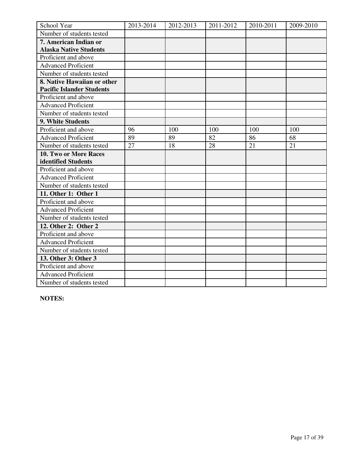| School Year                      | 2013-2014 | 2012-2013 | 2011-2012 | 2010-2011 | 2009-2010 |
|----------------------------------|-----------|-----------|-----------|-----------|-----------|
| Number of students tested        |           |           |           |           |           |
| 7. American Indian or            |           |           |           |           |           |
| <b>Alaska Native Students</b>    |           |           |           |           |           |
| Proficient and above             |           |           |           |           |           |
| <b>Advanced Proficient</b>       |           |           |           |           |           |
| Number of students tested        |           |           |           |           |           |
| 8. Native Hawaiian or other      |           |           |           |           |           |
| <b>Pacific Islander Students</b> |           |           |           |           |           |
| Proficient and above             |           |           |           |           |           |
| <b>Advanced Proficient</b>       |           |           |           |           |           |
| Number of students tested        |           |           |           |           |           |
| 9. White Students                |           |           |           |           |           |
| Proficient and above             | 96        | 100       | 100       | 100       | 100       |
| <b>Advanced Proficient</b>       | 89        | 89        | 82        | 86        | 68        |
| Number of students tested        | 27        | 18        | 28        | 21        | 21        |
| 10. Two or More Races            |           |           |           |           |           |
| identified Students              |           |           |           |           |           |
| Proficient and above             |           |           |           |           |           |
| <b>Advanced Proficient</b>       |           |           |           |           |           |
| Number of students tested        |           |           |           |           |           |
| 11. Other 1: Other 1             |           |           |           |           |           |
| Proficient and above             |           |           |           |           |           |
| <b>Advanced Proficient</b>       |           |           |           |           |           |
| Number of students tested        |           |           |           |           |           |
| 12. Other 2: Other 2             |           |           |           |           |           |
| Proficient and above             |           |           |           |           |           |
| <b>Advanced Proficient</b>       |           |           |           |           |           |
| Number of students tested        |           |           |           |           |           |
| 13. Other 3: Other 3             |           |           |           |           |           |
| Proficient and above             |           |           |           |           |           |
| <b>Advanced Proficient</b>       |           |           |           |           |           |
| Number of students tested        |           |           |           |           |           |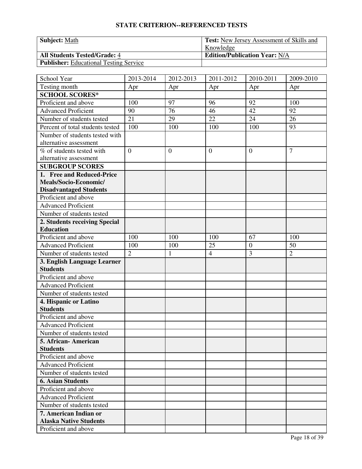| <b>Subject: Math</b>                          | <b>Test:</b> New Jersey Assessment of Skills and |
|-----------------------------------------------|--------------------------------------------------|
|                                               | Knowledge                                        |
| <b>All Students Tested/Grade: 4</b>           | <b>Edition/Publication Year: N/A</b>             |
| <b>Publisher:</b> Educational Testing Service |                                                  |

| School Year                             | 2013-2014      | 2012-2013 | 2011-2012      | 2010-2011      | 2009-2010      |
|-----------------------------------------|----------------|-----------|----------------|----------------|----------------|
| Testing month                           | Apr            | Apr       | Apr            | Apr            | Apr            |
| <b>SCHOOL SCORES*</b>                   |                |           |                |                |                |
| Proficient and above                    | 100            | 97        | 96             | 92             | 100            |
| <b>Advanced Proficient</b>              | 90             | 76        | 46             | 42             | 92             |
| Number of students tested               | 21             | 29        | 22             | 24             | 26             |
| Percent of total students tested        | 100            | 100       | 100            | 100            | 93             |
| Number of students tested with          |                |           |                |                |                |
| alternative assessment                  |                |           |                |                |                |
| % of students tested with               | $\overline{0}$ | $\theta$  | $\overline{0}$ | $\overline{0}$ | $\overline{7}$ |
| alternative assessment                  |                |           |                |                |                |
| <b>SUBGROUP SCORES</b>                  |                |           |                |                |                |
| 1. Free and Reduced-Price               |                |           |                |                |                |
| Meals/Socio-Economic/                   |                |           |                |                |                |
| <b>Disadvantaged Students</b>           |                |           |                |                |                |
| Proficient and above                    |                |           |                |                |                |
| <b>Advanced Proficient</b>              |                |           |                |                |                |
| Number of students tested               |                |           |                |                |                |
| 2. Students receiving Special           |                |           |                |                |                |
| <b>Education</b>                        |                |           |                |                |                |
| Proficient and above                    | 100            | 100       | 100            | 67             | 100            |
| <b>Advanced Proficient</b>              | 100            | 100       | 25             | $\overline{0}$ | 50             |
| Number of students tested               | $\overline{2}$ | 1         | $\overline{4}$ | $\overline{3}$ | $\overline{2}$ |
| 3. English Language Learner             |                |           |                |                |                |
| <b>Students</b>                         |                |           |                |                |                |
| Proficient and above                    |                |           |                |                |                |
| <b>Advanced Proficient</b>              |                |           |                |                |                |
| Number of students tested               |                |           |                |                |                |
| 4. Hispanic or Latino                   |                |           |                |                |                |
| <b>Students</b>                         |                |           |                |                |                |
| Proficient and above                    |                |           |                |                |                |
| <b>Advanced Proficient</b>              |                |           |                |                |                |
| Number of students tested               |                |           |                |                |                |
| 5. African- American                    |                |           |                |                |                |
| <b>Students</b><br>Proficient and above |                |           |                |                |                |
| <b>Advanced Proficient</b>              |                |           |                |                |                |
|                                         |                |           |                |                |                |
| Number of students tested               |                |           |                |                |                |
| <b>6. Asian Students</b>                |                |           |                |                |                |
| Proficient and above                    |                |           |                |                |                |
| <b>Advanced Proficient</b>              |                |           |                |                |                |
| Number of students tested               |                |           |                |                |                |
| 7. American Indian or                   |                |           |                |                |                |
| <b>Alaska Native Students</b>           |                |           |                |                |                |
| Proficient and above                    |                |           |                |                |                |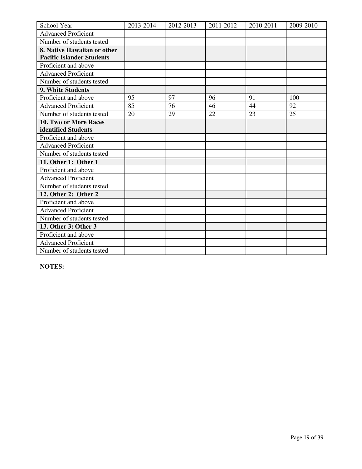| School Year                      | 2013-2014 | 2012-2013 | 2011-2012 | 2010-2011 | 2009-2010 |
|----------------------------------|-----------|-----------|-----------|-----------|-----------|
| <b>Advanced Proficient</b>       |           |           |           |           |           |
| Number of students tested        |           |           |           |           |           |
| 8. Native Hawaiian or other      |           |           |           |           |           |
| <b>Pacific Islander Students</b> |           |           |           |           |           |
| Proficient and above             |           |           |           |           |           |
| <b>Advanced Proficient</b>       |           |           |           |           |           |
| Number of students tested        |           |           |           |           |           |
| 9. White Students                |           |           |           |           |           |
| Proficient and above             | 95        | 97        | 96        | 91        | 100       |
| <b>Advanced Proficient</b>       | 85        | 76        | 46        | 44        | 92        |
| Number of students tested        | 20        | 29        | 22        | 23        | 25        |
| 10. Two or More Races            |           |           |           |           |           |
| identified Students              |           |           |           |           |           |
| Proficient and above             |           |           |           |           |           |
| <b>Advanced Proficient</b>       |           |           |           |           |           |
| Number of students tested        |           |           |           |           |           |
| 11. Other 1: Other 1             |           |           |           |           |           |
| Proficient and above             |           |           |           |           |           |
| <b>Advanced Proficient</b>       |           |           |           |           |           |
| Number of students tested        |           |           |           |           |           |
| 12. Other 2: Other 2             |           |           |           |           |           |
| Proficient and above             |           |           |           |           |           |
| <b>Advanced Proficient</b>       |           |           |           |           |           |
| Number of students tested        |           |           |           |           |           |
| 13. Other 3: Other 3             |           |           |           |           |           |
| Proficient and above             |           |           |           |           |           |
| <b>Advanced Proficient</b>       |           |           |           |           |           |
| Number of students tested        |           |           |           |           |           |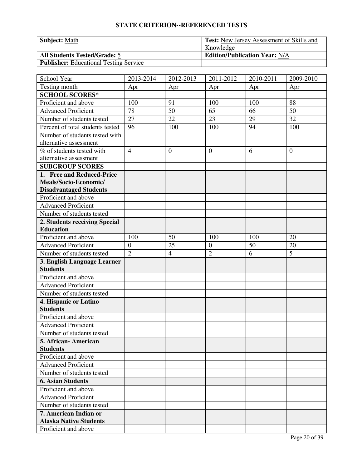| <b>Subject: Math</b>                          | <b>Test:</b> New Jersey Assessment of Skills and |
|-----------------------------------------------|--------------------------------------------------|
|                                               | Knowledge                                        |
| <b>All Students Tested/Grade: 5</b>           | <b>Edition/Publication Year: N/A</b>             |
| <b>Publisher:</b> Educational Testing Service |                                                  |

| School Year                                              | 2013-2014        | 2012-2013      | 2011-2012        | 2010-2011 | 2009-2010      |
|----------------------------------------------------------|------------------|----------------|------------------|-----------|----------------|
| Testing month                                            | Apr              | Apr            | Apr              | Apr       | Apr            |
| <b>SCHOOL SCORES*</b>                                    |                  |                |                  |           |                |
| Proficient and above                                     | 100              | 91             | 100              | 100       | 88             |
| <b>Advanced Proficient</b>                               | 78               | 50             | 65               | 66        | 50             |
| Number of students tested                                | 27               | 22             | 23               | 29        | 32             |
| Percent of total students tested                         | 96               | 100            | 100              | 94        | 100            |
| Number of students tested with<br>alternative assessment |                  |                |                  |           |                |
| % of students tested with<br>alternative assessment      | $\overline{4}$   | $\overline{0}$ | $\overline{0}$   | 6         | $\overline{0}$ |
| <b>SUBGROUP SCORES</b>                                   |                  |                |                  |           |                |
| 1. Free and Reduced-Price                                |                  |                |                  |           |                |
| Meals/Socio-Economic/                                    |                  |                |                  |           |                |
| <b>Disadvantaged Students</b>                            |                  |                |                  |           |                |
| Proficient and above                                     |                  |                |                  |           |                |
| <b>Advanced Proficient</b>                               |                  |                |                  |           |                |
| Number of students tested                                |                  |                |                  |           |                |
| 2. Students receiving Special                            |                  |                |                  |           |                |
| <b>Education</b>                                         |                  |                |                  |           |                |
| Proficient and above                                     | 100              | 50             | 100              | 100       | 20             |
| <b>Advanced Proficient</b>                               | $\boldsymbol{0}$ | 25             | $\boldsymbol{0}$ | 50        | 20             |
| Number of students tested                                | $\overline{2}$   | $\overline{4}$ | $\overline{2}$   | 6         | 5              |
| 3. English Language Learner                              |                  |                |                  |           |                |
| <b>Students</b>                                          |                  |                |                  |           |                |
| Proficient and above                                     |                  |                |                  |           |                |
| <b>Advanced Proficient</b>                               |                  |                |                  |           |                |
| Number of students tested                                |                  |                |                  |           |                |
| 4. Hispanic or Latino<br><b>Students</b>                 |                  |                |                  |           |                |
| Proficient and above                                     |                  |                |                  |           |                |
| <b>Advanced Proficient</b>                               |                  |                |                  |           |                |
| Number of students tested                                |                  |                |                  |           |                |
| 5. African- American                                     |                  |                |                  |           |                |
| <b>Students</b>                                          |                  |                |                  |           |                |
| Proficient and above                                     |                  |                |                  |           |                |
| <b>Advanced Proficient</b>                               |                  |                |                  |           |                |
| Number of students tested                                |                  |                |                  |           |                |
| <b>6. Asian Students</b>                                 |                  |                |                  |           |                |
| Proficient and above                                     |                  |                |                  |           |                |
| <b>Advanced Proficient</b>                               |                  |                |                  |           |                |
| Number of students tested                                |                  |                |                  |           |                |
| 7. American Indian or                                    |                  |                |                  |           |                |
| <b>Alaska Native Students</b>                            |                  |                |                  |           |                |
| Proficient and above                                     |                  |                |                  |           |                |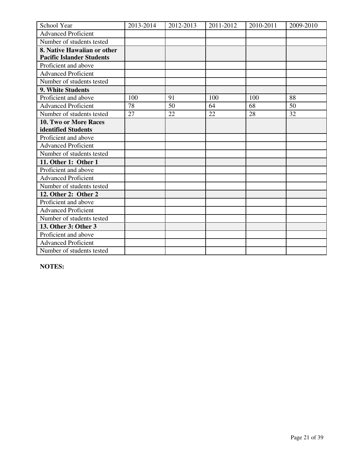| School Year                      | 2013-2014 | 2012-2013 | 2011-2012 | 2010-2011 | 2009-2010 |
|----------------------------------|-----------|-----------|-----------|-----------|-----------|
|                                  |           |           |           |           |           |
| <b>Advanced Proficient</b>       |           |           |           |           |           |
| Number of students tested        |           |           |           |           |           |
| 8. Native Hawaiian or other      |           |           |           |           |           |
| <b>Pacific Islander Students</b> |           |           |           |           |           |
| Proficient and above             |           |           |           |           |           |
| <b>Advanced Proficient</b>       |           |           |           |           |           |
| Number of students tested        |           |           |           |           |           |
| 9. White Students                |           |           |           |           |           |
| Proficient and above             | 100       | 91        | 100       | 100       | 88        |
| <b>Advanced Proficient</b>       | 78        | 50        | 64        | 68        | 50        |
| Number of students tested        | 27        | 22        | 22        | 28        | 32        |
| 10. Two or More Races            |           |           |           |           |           |
| identified Students              |           |           |           |           |           |
| Proficient and above             |           |           |           |           |           |
| <b>Advanced Proficient</b>       |           |           |           |           |           |
| Number of students tested        |           |           |           |           |           |
| 11. Other 1: Other 1             |           |           |           |           |           |
| Proficient and above             |           |           |           |           |           |
| <b>Advanced Proficient</b>       |           |           |           |           |           |
| Number of students tested        |           |           |           |           |           |
| 12. Other 2: Other 2             |           |           |           |           |           |
| Proficient and above             |           |           |           |           |           |
| <b>Advanced Proficient</b>       |           |           |           |           |           |
| Number of students tested        |           |           |           |           |           |
| 13. Other 3: Other 3             |           |           |           |           |           |
| Proficient and above             |           |           |           |           |           |
| <b>Advanced Proficient</b>       |           |           |           |           |           |
| Number of students tested        |           |           |           |           |           |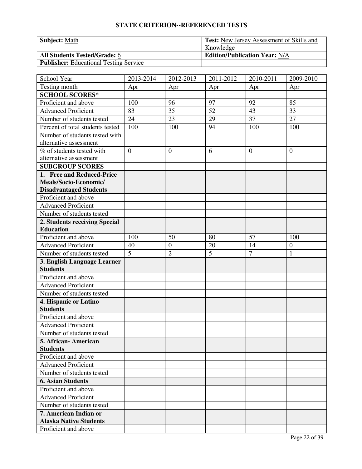| <b>Subject: Math</b>                          | <b>Test:</b> New Jersey Assessment of Skills and |
|-----------------------------------------------|--------------------------------------------------|
|                                               | Knowledge                                        |
| <b>All Students Tested/Grade: 6</b>           | <b>Edition/Publication Year: N/A</b>             |
| <b>Publisher:</b> Educational Testing Service |                                                  |

| School Year                      | 2013-2014      | 2012-2013      | 2011-2012 | 2010-2011      | 2009-2010      |
|----------------------------------|----------------|----------------|-----------|----------------|----------------|
| Testing month                    | Apr            | Apr            | Apr       | Apr            | Apr            |
| <b>SCHOOL SCORES*</b>            |                |                |           |                |                |
| Proficient and above             | 100            | 96             | 97        | 92             | 85             |
| <b>Advanced Proficient</b>       | 83             | 35             | 52        | 43             | 33             |
| Number of students tested        | 24             | 23             | 29        | 37             | 27             |
| Percent of total students tested | 100            | 100            | 94        | 100            | 100            |
| Number of students tested with   |                |                |           |                |                |
| alternative assessment           |                |                |           |                |                |
| % of students tested with        | $\overline{0}$ | $\overline{0}$ | 6         | $\theta$       | $\overline{0}$ |
| alternative assessment           |                |                |           |                |                |
| <b>SUBGROUP SCORES</b>           |                |                |           |                |                |
| 1. Free and Reduced-Price        |                |                |           |                |                |
| Meals/Socio-Economic/            |                |                |           |                |                |
| <b>Disadvantaged Students</b>    |                |                |           |                |                |
| Proficient and above             |                |                |           |                |                |
| <b>Advanced Proficient</b>       |                |                |           |                |                |
| Number of students tested        |                |                |           |                |                |
| 2. Students receiving Special    |                |                |           |                |                |
| <b>Education</b>                 |                |                |           |                |                |
| Proficient and above             | 100            | 50             | 80        | 57             | 100            |
| <b>Advanced Proficient</b>       | 40             | $\mathbf{0}$   | 20        | 14             | $\mathbf{0}$   |
| Number of students tested        | $\overline{5}$ | $\overline{2}$ | 5         | $\overline{7}$ | $\mathbf{1}$   |
| 3. English Language Learner      |                |                |           |                |                |
| <b>Students</b>                  |                |                |           |                |                |
| Proficient and above             |                |                |           |                |                |
| <b>Advanced Proficient</b>       |                |                |           |                |                |
| Number of students tested        |                |                |           |                |                |
| 4. Hispanic or Latino            |                |                |           |                |                |
| <b>Students</b>                  |                |                |           |                |                |
| Proficient and above             |                |                |           |                |                |
| <b>Advanced Proficient</b>       |                |                |           |                |                |
| Number of students tested        |                |                |           |                |                |
| 5. African - American            |                |                |           |                |                |
| <b>Students</b>                  |                |                |           |                |                |
| Proficient and above             |                |                |           |                |                |
| <b>Advanced Proficient</b>       |                |                |           |                |                |
| Number of students tested        |                |                |           |                |                |
| <b>6. Asian Students</b>         |                |                |           |                |                |
| Proficient and above             |                |                |           |                |                |
| <b>Advanced Proficient</b>       |                |                |           |                |                |
| Number of students tested        |                |                |           |                |                |
| 7. American Indian or            |                |                |           |                |                |
| <b>Alaska Native Students</b>    |                |                |           |                |                |
| Proficient and above             |                |                |           |                |                |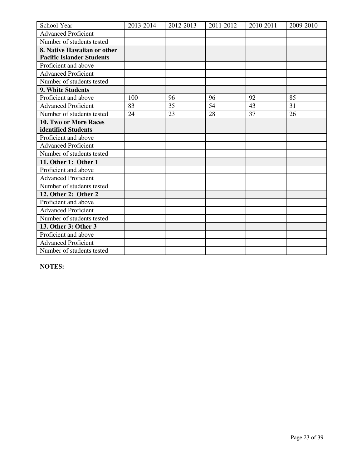| School Year                      | 2013-2014 | 2012-2013 | 2011-2012 | 2010-2011 | 2009-2010 |
|----------------------------------|-----------|-----------|-----------|-----------|-----------|
| <b>Advanced Proficient</b>       |           |           |           |           |           |
| Number of students tested        |           |           |           |           |           |
| 8. Native Hawaiian or other      |           |           |           |           |           |
| <b>Pacific Islander Students</b> |           |           |           |           |           |
| Proficient and above             |           |           |           |           |           |
| <b>Advanced Proficient</b>       |           |           |           |           |           |
| Number of students tested        |           |           |           |           |           |
| 9. White Students                |           |           |           |           |           |
| Proficient and above             | 100       | 96        | 96        | 92        | 85        |
| <b>Advanced Proficient</b>       | 83        | 35        | 54        | 43        | 31        |
| Number of students tested        | 24        | 23        | 28        | 37        | 26        |
| 10. Two or More Races            |           |           |           |           |           |
| identified Students              |           |           |           |           |           |
| Proficient and above             |           |           |           |           |           |
| <b>Advanced Proficient</b>       |           |           |           |           |           |
| Number of students tested        |           |           |           |           |           |
| 11. Other 1: Other 1             |           |           |           |           |           |
| Proficient and above             |           |           |           |           |           |
| <b>Advanced Proficient</b>       |           |           |           |           |           |
| Number of students tested        |           |           |           |           |           |
| 12. Other 2: Other 2             |           |           |           |           |           |
| Proficient and above             |           |           |           |           |           |
| <b>Advanced Proficient</b>       |           |           |           |           |           |
| Number of students tested        |           |           |           |           |           |
| 13. Other 3: Other 3             |           |           |           |           |           |
| Proficient and above             |           |           |           |           |           |
| <b>Advanced Proficient</b>       |           |           |           |           |           |
| Number of students tested        |           |           |           |           |           |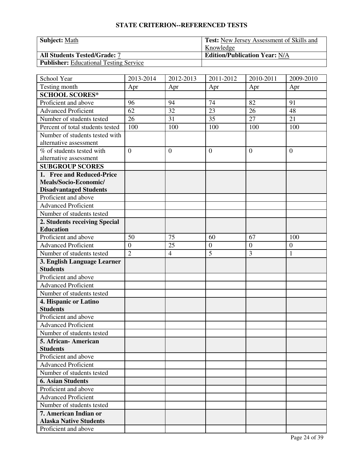| <b>Subject: Math</b>                          | <b>Test:</b> New Jersey Assessment of Skills and |
|-----------------------------------------------|--------------------------------------------------|
|                                               | Knowledge                                        |
| <b>All Students Tested/Grade: 7</b>           | <b>Edition/Publication Year: N/A</b>             |
| <b>Publisher:</b> Educational Testing Service |                                                  |

| School Year                             | 2013-2014        | 2012-2013      | 2011-2012        | 2010-2011      | 2009-2010        |
|-----------------------------------------|------------------|----------------|------------------|----------------|------------------|
| Testing month                           | Apr              | Apr            | Apr              | Apr            | Apr              |
| <b>SCHOOL SCORES*</b>                   |                  |                |                  |                |                  |
| Proficient and above                    | 96               | 94             | 74               | 82             | 91               |
| <b>Advanced Proficient</b>              | 62               | 32             | 23               | 26             | 48               |
| Number of students tested               | 26               | 31             | 35               | 27             | 21               |
| Percent of total students tested        | 100              | 100            | 100              | 100            | 100              |
| Number of students tested with          |                  |                |                  |                |                  |
| alternative assessment                  |                  |                |                  |                |                  |
| % of students tested with               | $\overline{0}$   | $\theta$       | $\overline{0}$   | $\overline{0}$ | $\overline{0}$   |
| alternative assessment                  |                  |                |                  |                |                  |
| <b>SUBGROUP SCORES</b>                  |                  |                |                  |                |                  |
| 1. Free and Reduced-Price               |                  |                |                  |                |                  |
| Meals/Socio-Economic/                   |                  |                |                  |                |                  |
| <b>Disadvantaged Students</b>           |                  |                |                  |                |                  |
| Proficient and above                    |                  |                |                  |                |                  |
| <b>Advanced Proficient</b>              |                  |                |                  |                |                  |
| Number of students tested               |                  |                |                  |                |                  |
| 2. Students receiving Special           |                  |                |                  |                |                  |
| <b>Education</b>                        |                  |                |                  |                |                  |
| Proficient and above                    | 50               | 75             | 60               | 67             | 100              |
| <b>Advanced Proficient</b>              | $\boldsymbol{0}$ | 25             | $\boldsymbol{0}$ | $\overline{0}$ | $\boldsymbol{0}$ |
| Number of students tested               | $\overline{2}$   | $\overline{4}$ | $\overline{5}$   | $\overline{3}$ | $\mathbf{1}$     |
| 3. English Language Learner             |                  |                |                  |                |                  |
| <b>Students</b>                         |                  |                |                  |                |                  |
| Proficient and above                    |                  |                |                  |                |                  |
| <b>Advanced Proficient</b>              |                  |                |                  |                |                  |
| Number of students tested               |                  |                |                  |                |                  |
| 4. Hispanic or Latino                   |                  |                |                  |                |                  |
| <b>Students</b>                         |                  |                |                  |                |                  |
| Proficient and above                    |                  |                |                  |                |                  |
| <b>Advanced Proficient</b>              |                  |                |                  |                |                  |
| Number of students tested               |                  |                |                  |                |                  |
| 5. African- American<br><b>Students</b> |                  |                |                  |                |                  |
| Proficient and above                    |                  |                |                  |                |                  |
| <b>Advanced Proficient</b>              |                  |                |                  |                |                  |
| Number of students tested               |                  |                |                  |                |                  |
| <b>6. Asian Students</b>                |                  |                |                  |                |                  |
| Proficient and above                    |                  |                |                  |                |                  |
| <b>Advanced Proficient</b>              |                  |                |                  |                |                  |
| Number of students tested               |                  |                |                  |                |                  |
| 7. American Indian or                   |                  |                |                  |                |                  |
| <b>Alaska Native Students</b>           |                  |                |                  |                |                  |
| Proficient and above                    |                  |                |                  |                |                  |
|                                         |                  |                |                  |                |                  |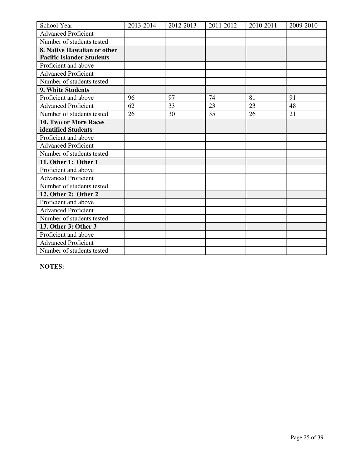| School Year                      | 2013-2014 | 2012-2013 | 2011-2012 | 2010-2011 | 2009-2010 |
|----------------------------------|-----------|-----------|-----------|-----------|-----------|
| <b>Advanced Proficient</b>       |           |           |           |           |           |
| Number of students tested        |           |           |           |           |           |
| 8. Native Hawaiian or other      |           |           |           |           |           |
| <b>Pacific Islander Students</b> |           |           |           |           |           |
| Proficient and above             |           |           |           |           |           |
| <b>Advanced Proficient</b>       |           |           |           |           |           |
| Number of students tested        |           |           |           |           |           |
| 9. White Students                |           |           |           |           |           |
| Proficient and above             | 96        | 97        | 74        | 81        | 91        |
| <b>Advanced Proficient</b>       | 62        | 33        | 23        | 23        | 48        |
| Number of students tested        | 26        | 30        | 35        | 26        | 21        |
| 10. Two or More Races            |           |           |           |           |           |
| identified Students              |           |           |           |           |           |
| Proficient and above             |           |           |           |           |           |
| <b>Advanced Proficient</b>       |           |           |           |           |           |
| Number of students tested        |           |           |           |           |           |
| 11. Other 1: Other 1             |           |           |           |           |           |
| Proficient and above             |           |           |           |           |           |
| <b>Advanced Proficient</b>       |           |           |           |           |           |
| Number of students tested        |           |           |           |           |           |
| 12. Other 2: Other 2             |           |           |           |           |           |
| Proficient and above             |           |           |           |           |           |
| <b>Advanced Proficient</b>       |           |           |           |           |           |
| Number of students tested        |           |           |           |           |           |
| 13. Other 3: Other 3             |           |           |           |           |           |
| Proficient and above             |           |           |           |           |           |
| <b>Advanced Proficient</b>       |           |           |           |           |           |
| Number of students tested        |           |           |           |           |           |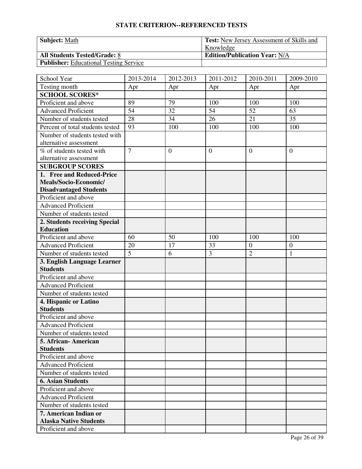| <b>Subject: Math</b>                          | <b>Test:</b> New Jersey Assessment of Skills and |
|-----------------------------------------------|--------------------------------------------------|
|                                               | Knowledge                                        |
| <b>All Students Tested/Grade: 8</b>           | <b>Edition/Publication Year: N/A</b>             |
| <b>Publisher:</b> Educational Testing Service |                                                  |

| School Year                                      | 2013-2014      | 2012-2013 | 2011-2012      | 2010-2011      | 2009-2010        |
|--------------------------------------------------|----------------|-----------|----------------|----------------|------------------|
| Testing month                                    | Apr            | Apr       | Apr            | Apr            | Apr              |
| <b>SCHOOL SCORES*</b>                            |                |           |                |                |                  |
| Proficient and above                             | 89             | 79        | 100            | 100            | 100              |
| <b>Advanced Proficient</b>                       | 54             | 32        | 54             | 52             | 63               |
| Number of students tested                        | 28             | 34        | 26             | 21             | 35               |
| Percent of total students tested                 | 93             | 100       | 100            | 100            | 100              |
| Number of students tested with                   |                |           |                |                |                  |
| alternative assessment                           |                |           |                |                |                  |
| % of students tested with                        | $\overline{7}$ | $\theta$  | $\overline{0}$ | $\overline{0}$ | $\overline{0}$   |
| alternative assessment                           |                |           |                |                |                  |
| <b>SUBGROUP SCORES</b>                           |                |           |                |                |                  |
| 1. Free and Reduced-Price                        |                |           |                |                |                  |
| Meals/Socio-Economic/                            |                |           |                |                |                  |
| <b>Disadvantaged Students</b>                    |                |           |                |                |                  |
| Proficient and above                             |                |           |                |                |                  |
| <b>Advanced Proficient</b>                       |                |           |                |                |                  |
| Number of students tested                        |                |           |                |                |                  |
| 2. Students receiving Special                    |                |           |                |                |                  |
| <b>Education</b>                                 |                |           |                |                |                  |
| Proficient and above                             | 60             | 50        | 100            | 100            | 100              |
| <b>Advanced Proficient</b>                       | 20             | 17        | 33             | $\overline{0}$ | $\boldsymbol{0}$ |
| Number of students tested                        | $\overline{5}$ | 6         | $\overline{3}$ | $\overline{2}$ | $\mathbf{1}$     |
| 3. English Language Learner                      |                |           |                |                |                  |
| <b>Students</b>                                  |                |           |                |                |                  |
| Proficient and above                             |                |           |                |                |                  |
| <b>Advanced Proficient</b>                       |                |           |                |                |                  |
| Number of students tested                        |                |           |                |                |                  |
| 4. Hispanic or Latino                            |                |           |                |                |                  |
| <b>Students</b>                                  |                |           |                |                |                  |
| Proficient and above                             |                |           |                |                |                  |
| <b>Advanced Proficient</b>                       |                |           |                |                |                  |
| Number of students tested                        |                |           |                |                |                  |
| 5. African- American                             |                |           |                |                |                  |
| <b>Students</b><br>Proficient and above          |                |           |                |                |                  |
| <b>Advanced Proficient</b>                       |                |           |                |                |                  |
|                                                  |                |           |                |                |                  |
| Number of students tested                        |                |           |                |                |                  |
| <b>6. Asian Students</b><br>Proficient and above |                |           |                |                |                  |
| <b>Advanced Proficient</b>                       |                |           |                |                |                  |
|                                                  |                |           |                |                |                  |
| Number of students tested                        |                |           |                |                |                  |
| 7. American Indian or                            |                |           |                |                |                  |
| <b>Alaska Native Students</b>                    |                |           |                |                |                  |
| Proficient and above                             |                |           |                |                |                  |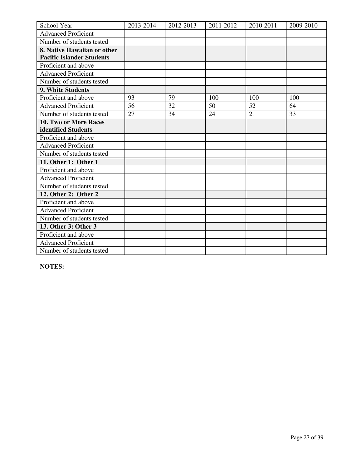| School Year                      | 2013-2014 | 2012-2013 | 2011-2012 | 2010-2011 | 2009-2010 |
|----------------------------------|-----------|-----------|-----------|-----------|-----------|
| <b>Advanced Proficient</b>       |           |           |           |           |           |
| Number of students tested        |           |           |           |           |           |
| 8. Native Hawaiian or other      |           |           |           |           |           |
| <b>Pacific Islander Students</b> |           |           |           |           |           |
| Proficient and above             |           |           |           |           |           |
| <b>Advanced Proficient</b>       |           |           |           |           |           |
| Number of students tested        |           |           |           |           |           |
| 9. White Students                |           |           |           |           |           |
| Proficient and above             | 93        | 79        | 100       | 100       | 100       |
| <b>Advanced Proficient</b>       | 56        | 32        | 50        | 52        | 64        |
| Number of students tested        | 27        | 34        | 24        | 21        | 33        |
| 10. Two or More Races            |           |           |           |           |           |
| identified Students              |           |           |           |           |           |
| Proficient and above             |           |           |           |           |           |
| <b>Advanced Proficient</b>       |           |           |           |           |           |
| Number of students tested        |           |           |           |           |           |
| 11. Other 1: Other 1             |           |           |           |           |           |
| Proficient and above             |           |           |           |           |           |
| <b>Advanced Proficient</b>       |           |           |           |           |           |
| Number of students tested        |           |           |           |           |           |
| 12. Other 2: Other 2             |           |           |           |           |           |
| Proficient and above             |           |           |           |           |           |
| <b>Advanced Proficient</b>       |           |           |           |           |           |
| Number of students tested        |           |           |           |           |           |
| 13. Other 3: Other 3             |           |           |           |           |           |
| Proficient and above             |           |           |           |           |           |
| <b>Advanced Proficient</b>       |           |           |           |           |           |
| Number of students tested        |           |           |           |           |           |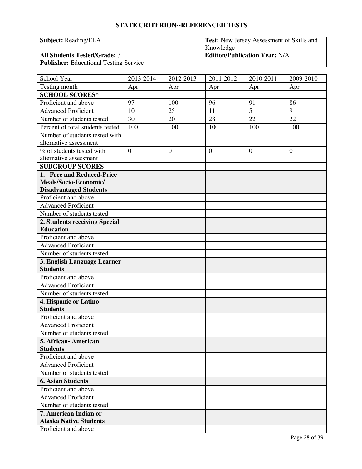| <b>Subject:</b> Reading/ELA                   | <sup>1</sup> Test: New Jersey Assessment of Skills and |
|-----------------------------------------------|--------------------------------------------------------|
|                                               | Knowledge                                              |
| <b>All Students Tested/Grade: 3</b>           | <b>Edition/Publication Year: N/A</b>                   |
| <b>Publisher:</b> Educational Testing Service |                                                        |

| School Year                      | 2013-2014      | 2012-2013    | 2011-2012        | 2010-2011      | 2009-2010      |
|----------------------------------|----------------|--------------|------------------|----------------|----------------|
| Testing month                    | Apr            | Apr          | Apr              | Apr            | Apr            |
| <b>SCHOOL SCORES*</b>            |                |              |                  |                |                |
| Proficient and above             | 97             | 100          | 96               | 91             | 86             |
| <b>Advanced Proficient</b>       | 10             | 25           | 11               | $\overline{5}$ | 9              |
| Number of students tested        | 30             | 20           | 28               | 22             | 22             |
| Percent of total students tested | 100            | 100          | 100              | 100            | 100            |
| Number of students tested with   |                |              |                  |                |                |
| alternative assessment           |                |              |                  |                |                |
| % of students tested with        | $\overline{0}$ | $\mathbf{0}$ | $\boldsymbol{0}$ | $\overline{0}$ | $\overline{0}$ |
| alternative assessment           |                |              |                  |                |                |
| <b>SUBGROUP SCORES</b>           |                |              |                  |                |                |
| 1. Free and Reduced-Price        |                |              |                  |                |                |
| Meals/Socio-Economic/            |                |              |                  |                |                |
| <b>Disadvantaged Students</b>    |                |              |                  |                |                |
| Proficient and above             |                |              |                  |                |                |
| <b>Advanced Proficient</b>       |                |              |                  |                |                |
| Number of students tested        |                |              |                  |                |                |
| 2. Students receiving Special    |                |              |                  |                |                |
| <b>Education</b>                 |                |              |                  |                |                |
| Proficient and above             |                |              |                  |                |                |
| <b>Advanced Proficient</b>       |                |              |                  |                |                |
| Number of students tested        |                |              |                  |                |                |
| 3. English Language Learner      |                |              |                  |                |                |
| <b>Students</b>                  |                |              |                  |                |                |
| Proficient and above             |                |              |                  |                |                |
| <b>Advanced Proficient</b>       |                |              |                  |                |                |
| Number of students tested        |                |              |                  |                |                |
| 4. Hispanic or Latino            |                |              |                  |                |                |
| <b>Students</b>                  |                |              |                  |                |                |
| Proficient and above             |                |              |                  |                |                |
| <b>Advanced Proficient</b>       |                |              |                  |                |                |
| Number of students tested        |                |              |                  |                |                |
| 5. African-American              |                |              |                  |                |                |
| <b>Students</b>                  |                |              |                  |                |                |
| Proficient and above             |                |              |                  |                |                |
| <b>Advanced Proficient</b>       |                |              |                  |                |                |
| Number of students tested        |                |              |                  |                |                |
| <b>6. Asian Students</b>         |                |              |                  |                |                |
| Proficient and above             |                |              |                  |                |                |
| <b>Advanced Proficient</b>       |                |              |                  |                |                |
| Number of students tested        |                |              |                  |                |                |
| 7. American Indian or            |                |              |                  |                |                |
| <b>Alaska Native Students</b>    |                |              |                  |                |                |
| Proficient and above             |                |              |                  |                |                |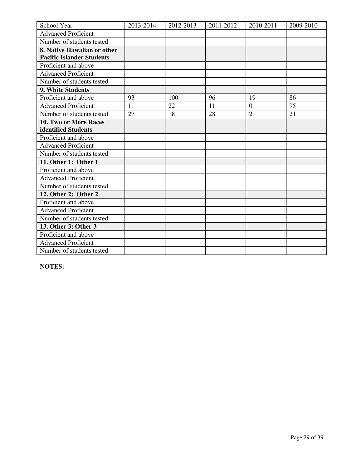| School Year                      | 2013-2014 | 2012-2013 | 2011-2012 | 2010-2011      | 2009-2010 |
|----------------------------------|-----------|-----------|-----------|----------------|-----------|
| <b>Advanced Proficient</b>       |           |           |           |                |           |
| Number of students tested        |           |           |           |                |           |
| 8. Native Hawaiian or other      |           |           |           |                |           |
| <b>Pacific Islander Students</b> |           |           |           |                |           |
| Proficient and above             |           |           |           |                |           |
| <b>Advanced Proficient</b>       |           |           |           |                |           |
| Number of students tested        |           |           |           |                |           |
| 9. White Students                |           |           |           |                |           |
| Proficient and above             | 93        | 100       | 96        | 19             | 86        |
| <b>Advanced Proficient</b>       | 11        | 22        | 11        | $\overline{0}$ | 95        |
| Number of students tested        | 27        | 18        | 28        | 21             | 21        |
| 10. Two or More Races            |           |           |           |                |           |
| identified Students              |           |           |           |                |           |
| Proficient and above             |           |           |           |                |           |
| <b>Advanced Proficient</b>       |           |           |           |                |           |
| Number of students tested        |           |           |           |                |           |
| 11. Other 1: Other 1             |           |           |           |                |           |
| Proficient and above             |           |           |           |                |           |
| <b>Advanced Proficient</b>       |           |           |           |                |           |
| Number of students tested        |           |           |           |                |           |
| 12. Other 2: Other 2             |           |           |           |                |           |
| Proficient and above             |           |           |           |                |           |
| <b>Advanced Proficient</b>       |           |           |           |                |           |
| Number of students tested        |           |           |           |                |           |
| 13. Other 3: Other 3             |           |           |           |                |           |
| Proficient and above             |           |           |           |                |           |
| <b>Advanced Proficient</b>       |           |           |           |                |           |
| Number of students tested        |           |           |           |                |           |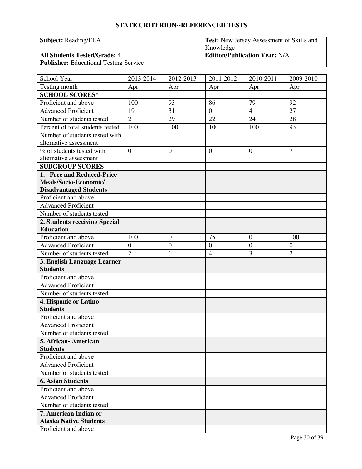| <b>Subject:</b> Reading/ELA                   | <sup>1</sup> Test: New Jersey Assessment of Skills and |
|-----------------------------------------------|--------------------------------------------------------|
|                                               | Knowledge                                              |
| <b>All Students Tested/Grade: 4</b>           | <b>Edition/Publication Year: N/A</b>                   |
| <b>Publisher:</b> Educational Testing Service |                                                        |

| School Year                      | 2013-2014      | 2012-2013        | 2011-2012        | 2010-2011        | 2009-2010      |
|----------------------------------|----------------|------------------|------------------|------------------|----------------|
| Testing month                    | Apr            | Apr              | Apr              | Apr              | Apr            |
| <b>SCHOOL SCORES*</b>            |                |                  |                  |                  |                |
| Proficient and above             | 100            | 93               | 86               | 79               | 92             |
| <b>Advanced Proficient</b>       | 19             | 31               | $\overline{0}$   | $\overline{4}$   | 27             |
| Number of students tested        | 21             | 29               | 22               | 24               | 28             |
| Percent of total students tested | 100            | 100              | 100              | 100              | 93             |
| Number of students tested with   |                |                  |                  |                  |                |
| alternative assessment           |                |                  |                  |                  |                |
| % of students tested with        | $\Omega$       | $\mathbf{0}$     | $\overline{0}$   | $\theta$         | $\overline{7}$ |
| alternative assessment           |                |                  |                  |                  |                |
| <b>SUBGROUP SCORES</b>           |                |                  |                  |                  |                |
| 1. Free and Reduced-Price        |                |                  |                  |                  |                |
| Meals/Socio-Economic/            |                |                  |                  |                  |                |
| <b>Disadvantaged Students</b>    |                |                  |                  |                  |                |
| Proficient and above             |                |                  |                  |                  |                |
| <b>Advanced Proficient</b>       |                |                  |                  |                  |                |
| Number of students tested        |                |                  |                  |                  |                |
| 2. Students receiving Special    |                |                  |                  |                  |                |
| <b>Education</b>                 |                |                  |                  |                  |                |
| Proficient and above             | 100            | $\boldsymbol{0}$ | 75               | $\mathbf{0}$     | 100            |
| <b>Advanced Proficient</b>       | $\mathbf{0}$   | $\boldsymbol{0}$ | $\boldsymbol{0}$ | $\boldsymbol{0}$ | $\mathbf{0}$   |
| Number of students tested        | $\overline{2}$ | $\mathbf{1}$     | $\overline{4}$   | 3                | $\overline{2}$ |
| 3. English Language Learner      |                |                  |                  |                  |                |
| <b>Students</b>                  |                |                  |                  |                  |                |
| Proficient and above             |                |                  |                  |                  |                |
| <b>Advanced Proficient</b>       |                |                  |                  |                  |                |
| Number of students tested        |                |                  |                  |                  |                |
| 4. Hispanic or Latino            |                |                  |                  |                  |                |
| <b>Students</b>                  |                |                  |                  |                  |                |
| Proficient and above             |                |                  |                  |                  |                |
| <b>Advanced Proficient</b>       |                |                  |                  |                  |                |
| Number of students tested        |                |                  |                  |                  |                |
| 5. African - American            |                |                  |                  |                  |                |
| <b>Students</b>                  |                |                  |                  |                  |                |
| Proficient and above             |                |                  |                  |                  |                |
| <b>Advanced Proficient</b>       |                |                  |                  |                  |                |
| Number of students tested        |                |                  |                  |                  |                |
| <b>6. Asian Students</b>         |                |                  |                  |                  |                |
| Proficient and above             |                |                  |                  |                  |                |
| <b>Advanced Proficient</b>       |                |                  |                  |                  |                |
| Number of students tested        |                |                  |                  |                  |                |
| 7. American Indian or            |                |                  |                  |                  |                |
| <b>Alaska Native Students</b>    |                |                  |                  |                  |                |
| Proficient and above             |                |                  |                  |                  |                |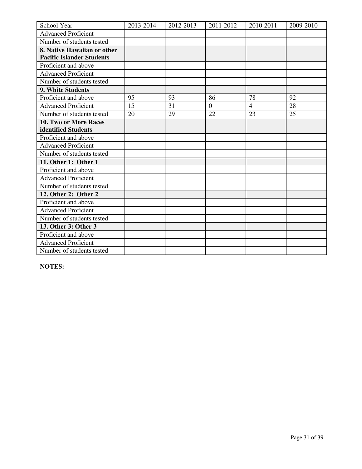| School Year                      | 2013-2014 | 2012-2013 | 2011-2012      | 2010-2011      | 2009-2010 |
|----------------------------------|-----------|-----------|----------------|----------------|-----------|
| <b>Advanced Proficient</b>       |           |           |                |                |           |
| Number of students tested        |           |           |                |                |           |
| 8. Native Hawaiian or other      |           |           |                |                |           |
| <b>Pacific Islander Students</b> |           |           |                |                |           |
| Proficient and above             |           |           |                |                |           |
| <b>Advanced Proficient</b>       |           |           |                |                |           |
| Number of students tested        |           |           |                |                |           |
| 9. White Students                |           |           |                |                |           |
| Proficient and above             | 95        | 93        | 86             | 78             | 92        |
| <b>Advanced Proficient</b>       | 15        | 31        | $\overline{0}$ | $\overline{4}$ | 28        |
| Number of students tested        | 20        | 29        | 22             | 23             | 25        |
| 10. Two or More Races            |           |           |                |                |           |
| identified Students              |           |           |                |                |           |
| Proficient and above             |           |           |                |                |           |
| <b>Advanced Proficient</b>       |           |           |                |                |           |
| Number of students tested        |           |           |                |                |           |
| 11. Other 1: Other 1             |           |           |                |                |           |
| Proficient and above             |           |           |                |                |           |
| <b>Advanced Proficient</b>       |           |           |                |                |           |
| Number of students tested        |           |           |                |                |           |
| 12. Other 2: Other 2             |           |           |                |                |           |
| Proficient and above             |           |           |                |                |           |
| <b>Advanced Proficient</b>       |           |           |                |                |           |
| Number of students tested        |           |           |                |                |           |
| 13. Other 3: Other 3             |           |           |                |                |           |
| Proficient and above             |           |           |                |                |           |
| <b>Advanced Proficient</b>       |           |           |                |                |           |
| Number of students tested        |           |           |                |                |           |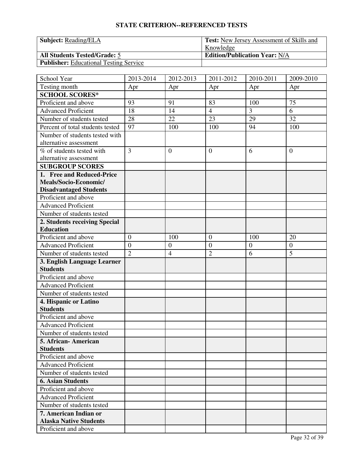| <b>Subject:</b> Reading/ELA                   | <sup>1</sup> Test: New Jersey Assessment of Skills and |
|-----------------------------------------------|--------------------------------------------------------|
|                                               | Knowledge                                              |
| <b>All Students Tested/Grade: 5</b>           | <b>Edition/Publication Year: N/A</b>                   |
| <b>Publisher:</b> Educational Testing Service |                                                        |

| School Year                      | 2013-2014        | 2012-2013        | 2011-2012        | 2010-2011        | 2009-2010        |
|----------------------------------|------------------|------------------|------------------|------------------|------------------|
| Testing month                    | Apr              | Apr              | Apr              | Apr              | Apr              |
| <b>SCHOOL SCORES*</b>            |                  |                  |                  |                  |                  |
| Proficient and above             | 93               | 91               | 83               | 100              | 75               |
| <b>Advanced Proficient</b>       | 18               | 14               | $\overline{4}$   | 3                | 6                |
| Number of students tested        | 28               | 22               | 23               | 29               | 32               |
| Percent of total students tested | 97               | 100              | 100              | 94               | 100              |
| Number of students tested with   |                  |                  |                  |                  |                  |
| alternative assessment           |                  |                  |                  |                  |                  |
| % of students tested with        | 3                | $\mathbf{0}$     | $\boldsymbol{0}$ | 6                | $\overline{0}$   |
| alternative assessment           |                  |                  |                  |                  |                  |
| <b>SUBGROUP SCORES</b>           |                  |                  |                  |                  |                  |
| 1. Free and Reduced-Price        |                  |                  |                  |                  |                  |
| Meals/Socio-Economic/            |                  |                  |                  |                  |                  |
| <b>Disadvantaged Students</b>    |                  |                  |                  |                  |                  |
| Proficient and above             |                  |                  |                  |                  |                  |
| <b>Advanced Proficient</b>       |                  |                  |                  |                  |                  |
| Number of students tested        |                  |                  |                  |                  |                  |
| 2. Students receiving Special    |                  |                  |                  |                  |                  |
| <b>Education</b>                 |                  |                  |                  |                  |                  |
| Proficient and above             | $\boldsymbol{0}$ | 100              | $\boldsymbol{0}$ | 100              | 20               |
| <b>Advanced Proficient</b>       | $\overline{0}$   | $\boldsymbol{0}$ | $\overline{0}$   | $\boldsymbol{0}$ | $\boldsymbol{0}$ |
| Number of students tested        | $\overline{2}$   | $\overline{4}$   | $\overline{2}$   | 6                | 5                |
| 3. English Language Learner      |                  |                  |                  |                  |                  |
| <b>Students</b>                  |                  |                  |                  |                  |                  |
| Proficient and above             |                  |                  |                  |                  |                  |
| <b>Advanced</b> Proficient       |                  |                  |                  |                  |                  |
| Number of students tested        |                  |                  |                  |                  |                  |
| 4. Hispanic or Latino            |                  |                  |                  |                  |                  |
| <b>Students</b>                  |                  |                  |                  |                  |                  |
| Proficient and above             |                  |                  |                  |                  |                  |
| <b>Advanced Proficient</b>       |                  |                  |                  |                  |                  |
| Number of students tested        |                  |                  |                  |                  |                  |
| 5. African-American              |                  |                  |                  |                  |                  |
| <b>Students</b>                  |                  |                  |                  |                  |                  |
| Proficient and above             |                  |                  |                  |                  |                  |
| <b>Advanced Proficient</b>       |                  |                  |                  |                  |                  |
| Number of students tested        |                  |                  |                  |                  |                  |
| <b>6. Asian Students</b>         |                  |                  |                  |                  |                  |
| Proficient and above             |                  |                  |                  |                  |                  |
| <b>Advanced Proficient</b>       |                  |                  |                  |                  |                  |
| Number of students tested        |                  |                  |                  |                  |                  |
| 7. American Indian or            |                  |                  |                  |                  |                  |
| <b>Alaska Native Students</b>    |                  |                  |                  |                  |                  |
| Proficient and above             |                  |                  |                  |                  |                  |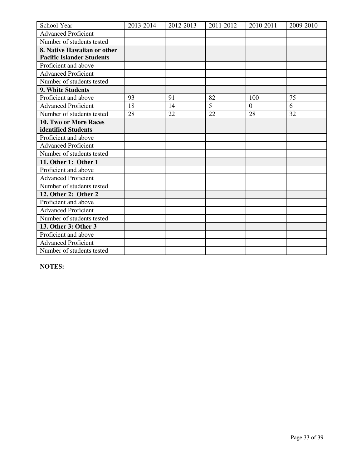| School Year                      | 2013-2014 | 2012-2013 | 2011-2012 | 2010-2011 | 2009-2010 |
|----------------------------------|-----------|-----------|-----------|-----------|-----------|
| <b>Advanced Proficient</b>       |           |           |           |           |           |
| Number of students tested        |           |           |           |           |           |
| 8. Native Hawaiian or other      |           |           |           |           |           |
| <b>Pacific Islander Students</b> |           |           |           |           |           |
| Proficient and above             |           |           |           |           |           |
| <b>Advanced Proficient</b>       |           |           |           |           |           |
| Number of students tested        |           |           |           |           |           |
| 9. White Students                |           |           |           |           |           |
| Proficient and above             | 93        | 91        | 82        | 100       | 75        |
| <b>Advanced Proficient</b>       | 18        | 14        | 5         | $\theta$  | 6         |
| Number of students tested        | 28        | 22        | 22        | 28        | 32        |
| 10. Two or More Races            |           |           |           |           |           |
| identified Students              |           |           |           |           |           |
| Proficient and above             |           |           |           |           |           |
| <b>Advanced Proficient</b>       |           |           |           |           |           |
| Number of students tested        |           |           |           |           |           |
| 11. Other 1: Other 1             |           |           |           |           |           |
| Proficient and above             |           |           |           |           |           |
| <b>Advanced Proficient</b>       |           |           |           |           |           |
| Number of students tested        |           |           |           |           |           |
| 12. Other 2: Other 2             |           |           |           |           |           |
| Proficient and above             |           |           |           |           |           |
| <b>Advanced Proficient</b>       |           |           |           |           |           |
| Number of students tested        |           |           |           |           |           |
| 13. Other 3: Other 3             |           |           |           |           |           |
| Proficient and above             |           |           |           |           |           |
| <b>Advanced Proficient</b>       |           |           |           |           |           |
| Number of students tested        |           |           |           |           |           |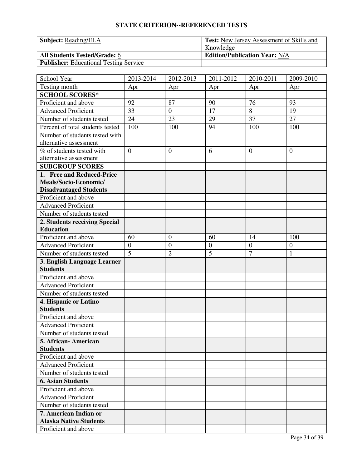| <b>Subject:</b> Reading/ELA                   | <sup>1</sup> Test: New Jersey Assessment of Skills and |
|-----------------------------------------------|--------------------------------------------------------|
|                                               | Knowledge                                              |
| <b>All Students Tested/Grade: 6</b>           | <b>Edition/Publication Year: N/A</b>                   |
| <b>Publisher:</b> Educational Testing Service |                                                        |

| School Year                      | 2013-2014        | 2012-2013        | 2011-2012        | 2010-2011        | 2009-2010    |
|----------------------------------|------------------|------------------|------------------|------------------|--------------|
| Testing month                    | Apr              | Apr              | Apr              | Apr              | Apr          |
| <b>SCHOOL SCORES*</b>            |                  |                  |                  |                  |              |
| Proficient and above             | 92               | 87               | 90               | 76               | 93           |
| <b>Advanced Proficient</b>       | 33               | $\overline{0}$   | 17               | 8                | 19           |
| Number of students tested        | 24               | 23               | 29               | 37               | 27           |
| Percent of total students tested | 100              | 100              | 94               | 100              | 100          |
| Number of students tested with   |                  |                  |                  |                  |              |
| alternative assessment           |                  |                  |                  |                  |              |
| % of students tested with        | $\Omega$         | $\mathbf{0}$     | 6                | $\theta$         | $\mathbf{0}$ |
| alternative assessment           |                  |                  |                  |                  |              |
| <b>SUBGROUP SCORES</b>           |                  |                  |                  |                  |              |
| 1. Free and Reduced-Price        |                  |                  |                  |                  |              |
| Meals/Socio-Economic/            |                  |                  |                  |                  |              |
| <b>Disadvantaged Students</b>    |                  |                  |                  |                  |              |
| Proficient and above             |                  |                  |                  |                  |              |
| <b>Advanced Proficient</b>       |                  |                  |                  |                  |              |
| Number of students tested        |                  |                  |                  |                  |              |
| 2. Students receiving Special    |                  |                  |                  |                  |              |
| <b>Education</b>                 |                  |                  |                  |                  |              |
| Proficient and above             | 60               | $\mathbf{0}$     | 60               | 14               | 100          |
| <b>Advanced Proficient</b>       | $\boldsymbol{0}$ | $\boldsymbol{0}$ | $\boldsymbol{0}$ | $\boldsymbol{0}$ | $\mathbf{0}$ |
| Number of students tested        | $\overline{5}$   | $\overline{2}$   | $\overline{5}$   | $\overline{7}$   | $\mathbf{1}$ |
| 3. English Language Learner      |                  |                  |                  |                  |              |
| <b>Students</b>                  |                  |                  |                  |                  |              |
| Proficient and above             |                  |                  |                  |                  |              |
| <b>Advanced Proficient</b>       |                  |                  |                  |                  |              |
| Number of students tested        |                  |                  |                  |                  |              |
| 4. Hispanic or Latino            |                  |                  |                  |                  |              |
| <b>Students</b>                  |                  |                  |                  |                  |              |
| Proficient and above             |                  |                  |                  |                  |              |
| <b>Advanced Proficient</b>       |                  |                  |                  |                  |              |
| Number of students tested        |                  |                  |                  |                  |              |
| 5. African - American            |                  |                  |                  |                  |              |
| <b>Students</b>                  |                  |                  |                  |                  |              |
| Proficient and above             |                  |                  |                  |                  |              |
| <b>Advanced Proficient</b>       |                  |                  |                  |                  |              |
| Number of students tested        |                  |                  |                  |                  |              |
| <b>6. Asian Students</b>         |                  |                  |                  |                  |              |
| Proficient and above             |                  |                  |                  |                  |              |
| <b>Advanced Proficient</b>       |                  |                  |                  |                  |              |
| Number of students tested        |                  |                  |                  |                  |              |
| 7. American Indian or            |                  |                  |                  |                  |              |
| <b>Alaska Native Students</b>    |                  |                  |                  |                  |              |
| Proficient and above             |                  |                  |                  |                  |              |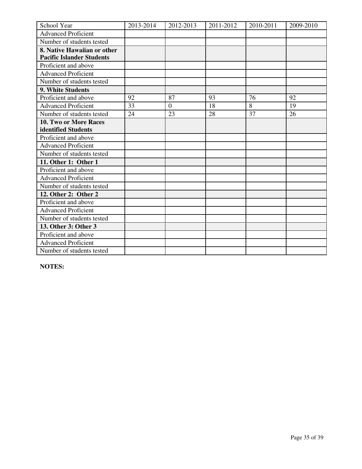| School Year                      | 2013-2014 | 2012-2013        | 2011-2012 | 2010-2011 | 2009-2010 |
|----------------------------------|-----------|------------------|-----------|-----------|-----------|
| <b>Advanced Proficient</b>       |           |                  |           |           |           |
| Number of students tested        |           |                  |           |           |           |
| 8. Native Hawaiian or other      |           |                  |           |           |           |
| <b>Pacific Islander Students</b> |           |                  |           |           |           |
| Proficient and above             |           |                  |           |           |           |
| <b>Advanced Proficient</b>       |           |                  |           |           |           |
| Number of students tested        |           |                  |           |           |           |
| 9. White Students                |           |                  |           |           |           |
| Proficient and above             | 92        | 87               | 93        | 76        | 92        |
| <b>Advanced Proficient</b>       | 33        | $\boldsymbol{0}$ | 18        | 8         | 19        |
| Number of students tested        | 24        | 23               | 28        | 37        | 26        |
| 10. Two or More Races            |           |                  |           |           |           |
| identified Students              |           |                  |           |           |           |
| Proficient and above             |           |                  |           |           |           |
| <b>Advanced Proficient</b>       |           |                  |           |           |           |
| Number of students tested        |           |                  |           |           |           |
| 11. Other 1: Other 1             |           |                  |           |           |           |
| Proficient and above             |           |                  |           |           |           |
| <b>Advanced Proficient</b>       |           |                  |           |           |           |
| Number of students tested        |           |                  |           |           |           |
| 12. Other 2: Other 2             |           |                  |           |           |           |
| Proficient and above             |           |                  |           |           |           |
| <b>Advanced Proficient</b>       |           |                  |           |           |           |
| Number of students tested        |           |                  |           |           |           |
| 13. Other 3: Other 3             |           |                  |           |           |           |
| Proficient and above             |           |                  |           |           |           |
| <b>Advanced Proficient</b>       |           |                  |           |           |           |
| Number of students tested        |           |                  |           |           |           |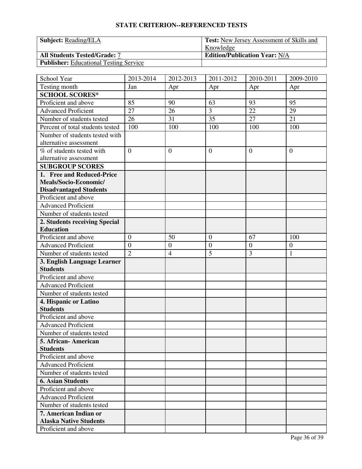| <b>Subject:</b> Reading/ELA                   | <sup>1</sup> Test: New Jersey Assessment of Skills and |  |  |
|-----------------------------------------------|--------------------------------------------------------|--|--|
|                                               | Knowledge                                              |  |  |
| <b>All Students Tested/Grade: 7</b>           | <b>Edition/Publication Year: N/A</b>                   |  |  |
| <b>Publisher:</b> Educational Testing Service |                                                        |  |  |

| School Year                      | 2013-2014        | 2012-2013        | 2011-2012        | 2010-2011        | 2009-2010      |
|----------------------------------|------------------|------------------|------------------|------------------|----------------|
| Testing month                    | Jan              | Apr              | Apr              | Apr              | Apr            |
| <b>SCHOOL SCORES*</b>            |                  |                  |                  |                  |                |
| Proficient and above             | 85               | 90               | 63               | 93               | 95             |
| <b>Advanced Proficient</b>       | 27               | 26               | $\overline{3}$   | $\overline{22}$  | 29             |
| Number of students tested        | 26               | 31               | 35               | 27               | 21             |
| Percent of total students tested | 100              | 100              | 100              | 100              | 100            |
| Number of students tested with   |                  |                  |                  |                  |                |
| alternative assessment           |                  |                  |                  |                  |                |
| % of students tested with        | $\overline{0}$   | $\boldsymbol{0}$ | $\boldsymbol{0}$ | $\overline{0}$   | $\overline{0}$ |
| alternative assessment           |                  |                  |                  |                  |                |
| <b>SUBGROUP SCORES</b>           |                  |                  |                  |                  |                |
| 1. Free and Reduced-Price        |                  |                  |                  |                  |                |
| Meals/Socio-Economic/            |                  |                  |                  |                  |                |
| <b>Disadvantaged Students</b>    |                  |                  |                  |                  |                |
| Proficient and above             |                  |                  |                  |                  |                |
| <b>Advanced Proficient</b>       |                  |                  |                  |                  |                |
| Number of students tested        |                  |                  |                  |                  |                |
| 2. Students receiving Special    |                  |                  |                  |                  |                |
| <b>Education</b>                 |                  |                  |                  |                  |                |
| Proficient and above             | $\boldsymbol{0}$ | 50               | $\boldsymbol{0}$ | 67               | 100            |
| <b>Advanced Proficient</b>       | $\overline{0}$   | $\boldsymbol{0}$ | $\boldsymbol{0}$ | $\boldsymbol{0}$ | $\mathbf{0}$   |
| Number of students tested        | $\overline{2}$   | $\overline{4}$   | $\overline{5}$   | 3                | $\mathbf{1}$   |
| 3. English Language Learner      |                  |                  |                  |                  |                |
| <b>Students</b>                  |                  |                  |                  |                  |                |
| Proficient and above             |                  |                  |                  |                  |                |
| <b>Advanced Proficient</b>       |                  |                  |                  |                  |                |
| Number of students tested        |                  |                  |                  |                  |                |
| 4. Hispanic or Latino            |                  |                  |                  |                  |                |
| <b>Students</b>                  |                  |                  |                  |                  |                |
| Proficient and above             |                  |                  |                  |                  |                |
| <b>Advanced Proficient</b>       |                  |                  |                  |                  |                |
| Number of students tested        |                  |                  |                  |                  |                |
| 5. African-American              |                  |                  |                  |                  |                |
| <b>Students</b>                  |                  |                  |                  |                  |                |
| Proficient and above             |                  |                  |                  |                  |                |
| <b>Advanced Proficient</b>       |                  |                  |                  |                  |                |
| Number of students tested        |                  |                  |                  |                  |                |
| <b>6. Asian Students</b>         |                  |                  |                  |                  |                |
| Proficient and above             |                  |                  |                  |                  |                |
| <b>Advanced Proficient</b>       |                  |                  |                  |                  |                |
| Number of students tested        |                  |                  |                  |                  |                |
| 7. American Indian or            |                  |                  |                  |                  |                |
| <b>Alaska Native Students</b>    |                  |                  |                  |                  |                |
| Proficient and above             |                  |                  |                  |                  |                |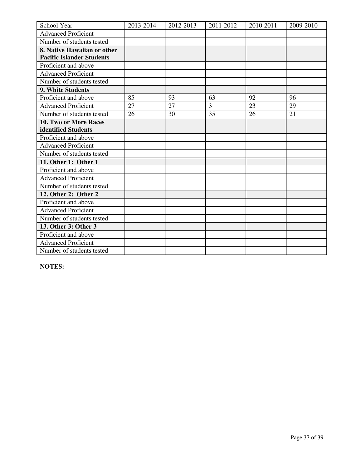| School Year                      | 2013-2014 | 2012-2013 | 2011-2012 | 2010-2011 | 2009-2010 |
|----------------------------------|-----------|-----------|-----------|-----------|-----------|
| <b>Advanced Proficient</b>       |           |           |           |           |           |
| Number of students tested        |           |           |           |           |           |
| 8. Native Hawaiian or other      |           |           |           |           |           |
| <b>Pacific Islander Students</b> |           |           |           |           |           |
| Proficient and above             |           |           |           |           |           |
| <b>Advanced Proficient</b>       |           |           |           |           |           |
| Number of students tested        |           |           |           |           |           |
| 9. White Students                |           |           |           |           |           |
| Proficient and above             | 85        | 93        | 63        | 92        | 96        |
| <b>Advanced Proficient</b>       | 27        | 27        | 3         | 23        | 29        |
| Number of students tested        | 26        | 30        | 35        | 26        | 21        |
| 10. Two or More Races            |           |           |           |           |           |
| identified Students              |           |           |           |           |           |
| Proficient and above             |           |           |           |           |           |
| <b>Advanced Proficient</b>       |           |           |           |           |           |
| Number of students tested        |           |           |           |           |           |
| 11. Other 1: Other 1             |           |           |           |           |           |
| Proficient and above             |           |           |           |           |           |
| <b>Advanced Proficient</b>       |           |           |           |           |           |
| Number of students tested        |           |           |           |           |           |
| 12. Other 2: Other 2             |           |           |           |           |           |
| Proficient and above             |           |           |           |           |           |
| <b>Advanced Proficient</b>       |           |           |           |           |           |
| Number of students tested        |           |           |           |           |           |
| 13. Other 3: Other 3             |           |           |           |           |           |
| Proficient and above             |           |           |           |           |           |
| <b>Advanced Proficient</b>       |           |           |           |           |           |
| Number of students tested        |           |           |           |           |           |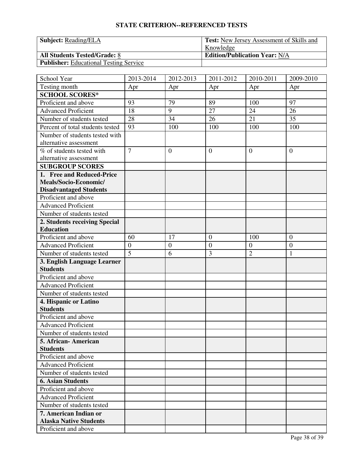| <b>Subject:</b> Reading/ELA                   | Test: New Jersey Assessment of Skills and |  |  |
|-----------------------------------------------|-------------------------------------------|--|--|
|                                               | Knowledge                                 |  |  |
| <b>All Students Tested/Grade: 8</b>           | <b>Edition/Publication Year: N/A</b>      |  |  |
| <b>Publisher:</b> Educational Testing Service |                                           |  |  |

| School Year                      | 2013-2014        | 2012-2013        | 2011-2012        | 2010-2011        | 2009-2010        |
|----------------------------------|------------------|------------------|------------------|------------------|------------------|
| Testing month                    | Apr              | Apr              | Apr              | Apr              | Apr              |
| <b>SCHOOL SCORES*</b>            |                  |                  |                  |                  |                  |
| Proficient and above             | 93               | 79               | 89               | 100              | 97               |
| <b>Advanced Proficient</b>       | 18               | 9                | 27               | 24               | 26               |
| Number of students tested        | 28               | 34               | 26               | 21               | 35               |
| Percent of total students tested | 93               | 100              | 100              | 100              | 100              |
| Number of students tested with   |                  |                  |                  |                  |                  |
| alternative assessment           |                  |                  |                  |                  |                  |
| % of students tested with        | $\overline{7}$   | $\boldsymbol{0}$ | $\boldsymbol{0}$ | $\overline{0}$   | $\overline{0}$   |
| alternative assessment           |                  |                  |                  |                  |                  |
| <b>SUBGROUP SCORES</b>           |                  |                  |                  |                  |                  |
| 1. Free and Reduced-Price        |                  |                  |                  |                  |                  |
| Meals/Socio-Economic/            |                  |                  |                  |                  |                  |
| <b>Disadvantaged Students</b>    |                  |                  |                  |                  |                  |
| Proficient and above             |                  |                  |                  |                  |                  |
| <b>Advanced Proficient</b>       |                  |                  |                  |                  |                  |
| Number of students tested        |                  |                  |                  |                  |                  |
| 2. Students receiving Special    |                  |                  |                  |                  |                  |
| <b>Education</b>                 |                  |                  |                  |                  |                  |
| Proficient and above             | 60               | 17               | $\boldsymbol{0}$ | 100              | $\boldsymbol{0}$ |
| <b>Advanced Proficient</b>       | $\boldsymbol{0}$ | $\boldsymbol{0}$ | $\overline{0}$   | $\boldsymbol{0}$ | $\boldsymbol{0}$ |
| Number of students tested        | $\overline{5}$   | 6                | 3                | $\overline{2}$   | $\mathbf{1}$     |
| 3. English Language Learner      |                  |                  |                  |                  |                  |
| <b>Students</b>                  |                  |                  |                  |                  |                  |
| Proficient and above             |                  |                  |                  |                  |                  |
| <b>Advanced</b> Proficient       |                  |                  |                  |                  |                  |
| Number of students tested        |                  |                  |                  |                  |                  |
| 4. Hispanic or Latino            |                  |                  |                  |                  |                  |
| <b>Students</b>                  |                  |                  |                  |                  |                  |
| Proficient and above             |                  |                  |                  |                  |                  |
| <b>Advanced Proficient</b>       |                  |                  |                  |                  |                  |
| Number of students tested        |                  |                  |                  |                  |                  |
| 5. African-American              |                  |                  |                  |                  |                  |
| <b>Students</b>                  |                  |                  |                  |                  |                  |
| Proficient and above             |                  |                  |                  |                  |                  |
| <b>Advanced Proficient</b>       |                  |                  |                  |                  |                  |
| Number of students tested        |                  |                  |                  |                  |                  |
| <b>6. Asian Students</b>         |                  |                  |                  |                  |                  |
| Proficient and above             |                  |                  |                  |                  |                  |
| <b>Advanced Proficient</b>       |                  |                  |                  |                  |                  |
| Number of students tested        |                  |                  |                  |                  |                  |
| 7. American Indian or            |                  |                  |                  |                  |                  |
| <b>Alaska Native Students</b>    |                  |                  |                  |                  |                  |
| Proficient and above             |                  |                  |                  |                  |                  |